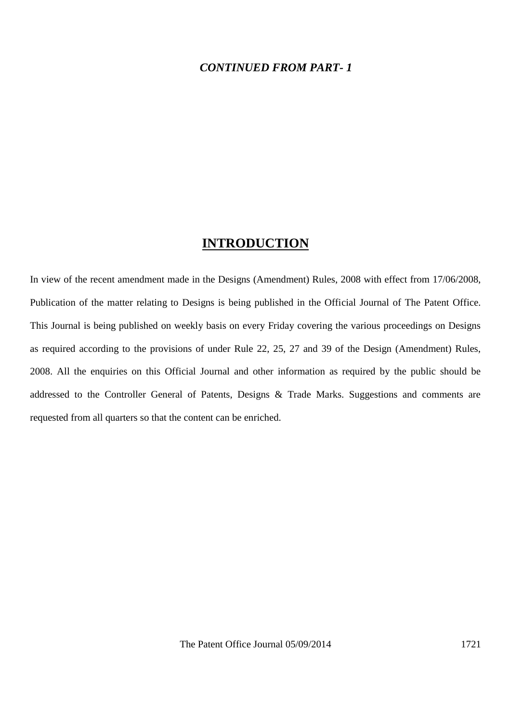#### *CONTINUED FROM PART- 1*

## **INTRODUCTION**

In view of the recent amendment made in the Designs (Amendment) Rules, 2008 with effect from 17/06/2008, Publication of the matter relating to Designs is being published in the Official Journal of The Patent Office. This Journal is being published on weekly basis on every Friday covering the various proceedings on Designs as required according to the provisions of under Rule 22, 25, 27 and 39 of the Design (Amendment) Rules, 2008. All the enquiries on this Official Journal and other information as required by the public should be addressed to the Controller General of Patents, Designs & Trade Marks. Suggestions and comments are requested from all quarters so that the content can be enriched.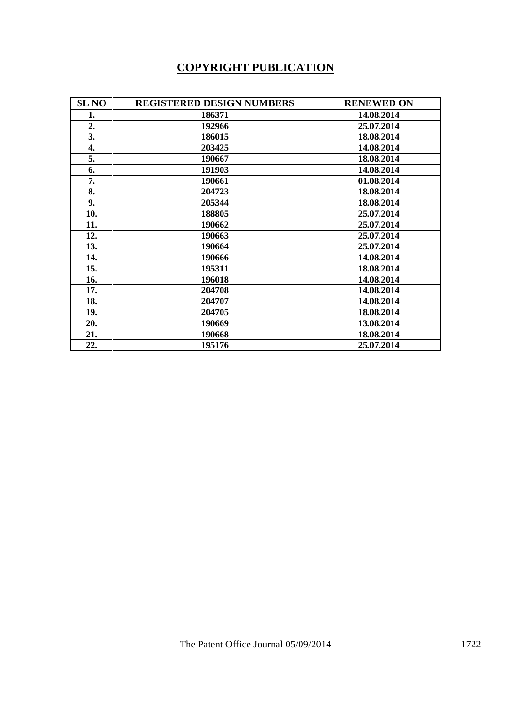# **COPYRIGHT PUBLICATION**

| <b>SL NO</b> | <b>REGISTERED DESIGN NUMBERS</b> | <b>RENEWED ON</b> |
|--------------|----------------------------------|-------------------|
| 1.           | 186371                           | 14.08.2014        |
| 2.           | 192966                           | 25.07.2014        |
| 3.           | 186015                           | 18.08.2014        |
| 4.           | 203425                           | 14.08.2014        |
| 5.           | 190667                           | 18.08.2014        |
| 6.           | 191903                           | 14.08.2014        |
| 7.           | 190661                           | 01.08.2014        |
| 8.           | 204723                           | 18.08.2014        |
| 9.           | 205344                           | 18.08.2014        |
| 10.          | 188805                           | 25.07.2014        |
| 11.          | 190662                           | 25.07.2014        |
| 12.          | 190663                           | 25.07.2014        |
| 13.          | 190664                           | 25.07.2014        |
| 14.          | 190666                           | 14.08.2014        |
| 15.          | 195311                           | 18.08.2014        |
| 16.          | 196018                           | 14.08.2014        |
| 17.          | 204708                           | 14.08.2014        |
| 18.          | 204707                           | 14.08.2014        |
| 19.          | 204705                           | 18.08.2014        |
| 20.          | 190669                           | 13.08.2014        |
| 21.          | 190668                           | 18.08.2014        |
| 22.          | 195176                           | 25.07.2014        |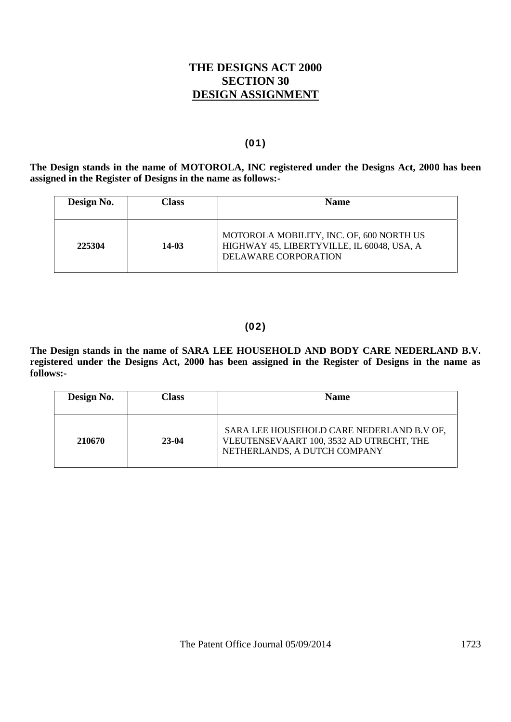## **THE DESIGNS ACT 2000 SECTION 30 DESIGN ASSIGNMENT**

#### **(01)**

**The Design stands in the name of MOTOROLA, INC registered under the Designs Act, 2000 has been assigned in the Register of Designs in the name as follows:-**

| Design No. | Class | <b>Name</b>                                                                                                    |  |  |
|------------|-------|----------------------------------------------------------------------------------------------------------------|--|--|
| 225304     | 14-03 | MOTOROLA MOBILITY, INC. OF, 600 NORTH US<br>HIGHWAY 45, LIBERTYVILLE, IL 60048, USA, A<br>DELAWARE CORPORATION |  |  |

### **(02)**

**The Design stands in the name of SARA LEE HOUSEHOLD AND BODY CARE NEDERLAND B.V. registered under the Designs Act, 2000 has been assigned in the Register of Designs in the name as**

| Design No. | Class   | <b>Name</b>                                                                                                           |
|------------|---------|-----------------------------------------------------------------------------------------------------------------------|
| 210670     | $23-04$ | SARA LEE HOUSEHOLD CARE NEDERLAND B.V OF,<br>VLEUTENSEVAART 100, 3532 AD UTRECHT, THE<br>NETHERLANDS, A DUTCH COMPANY |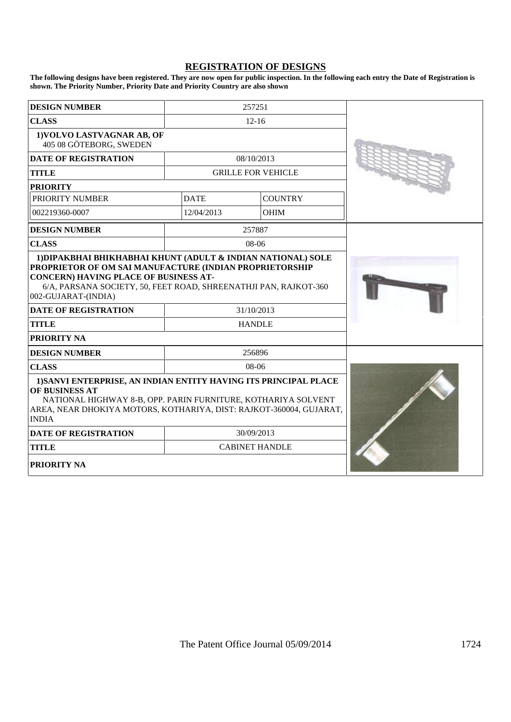#### **REGISTRATION OF DESIGNS**

**The following designs have been registered. They are now open for public inspection. In the following each entry the Date of Registration is shown. The Priority Number, Priority Date and Priority Country are also shown**

| <b>DESIGN NUMBER</b>                                                                                                                                                                                                                                       |             | 257251                    |  |
|------------------------------------------------------------------------------------------------------------------------------------------------------------------------------------------------------------------------------------------------------------|-------------|---------------------------|--|
| <b>CLASS</b>                                                                                                                                                                                                                                               |             | $12 - 16$                 |  |
| 1) VOLVO LASTVAGNAR AB, OF<br>405 08 GÖTEBORG, SWEDEN                                                                                                                                                                                                      |             |                           |  |
| <b>DATE OF REGISTRATION</b>                                                                                                                                                                                                                                |             | 08/10/2013                |  |
| <b>TITLE</b>                                                                                                                                                                                                                                               |             | <b>GRILLE FOR VEHICLE</b> |  |
| <b>PRIORITY</b>                                                                                                                                                                                                                                            |             |                           |  |
| <b>PRIORITY NUMBER</b>                                                                                                                                                                                                                                     | <b>DATE</b> | <b>COUNTRY</b>            |  |
| 002219360-0007                                                                                                                                                                                                                                             | 12/04/2013  | <b>OHIM</b>               |  |
| <b>DESIGN NUMBER</b>                                                                                                                                                                                                                                       |             | 257887                    |  |
| <b>CLASS</b>                                                                                                                                                                                                                                               |             | 08-06                     |  |
| PROPRIETOR OF OM SAI MANUFACTURE (INDIAN PROPRIETORSHIP<br><b>CONCERN) HAVING PLACE OF BUSINESS AT-</b><br>6/A, PARSANA SOCIETY, 50, FEET ROAD, SHREENATHJI PAN, RAJKOT-360<br>002-GUJARAT-(INDIA)<br><b>DATE OF REGISTRATION</b><br><b>TITLE</b>          |             |                           |  |
| <b>PRIORITY NA</b>                                                                                                                                                                                                                                         |             |                           |  |
| <b>DESIGN NUMBER</b>                                                                                                                                                                                                                                       |             | 256896<br>08-06           |  |
| <b>CLASS</b><br>1) SANVI ENTERPRISE, AN INDIAN ENTITY HAVING ITS PRINCIPAL PLACE<br>OF BUSINESS AT<br>NATIONAL HIGHWAY 8-B, OPP. PARIN FURNITURE, KOTHARIYA SOLVENT<br>AREA, NEAR DHOKIYA MOTORS, KOTHARIYA, DIST: RAJKOT-360004, GUJARAT,<br><b>INDIA</b> |             |                           |  |
| <b>DATE OF REGISTRATION</b>                                                                                                                                                                                                                                |             | 30/09/2013                |  |
| <b>TITLE</b>                                                                                                                                                                                                                                               |             | <b>CABINET HANDLE</b>     |  |
| <b>PRIORITY NA</b>                                                                                                                                                                                                                                         |             |                           |  |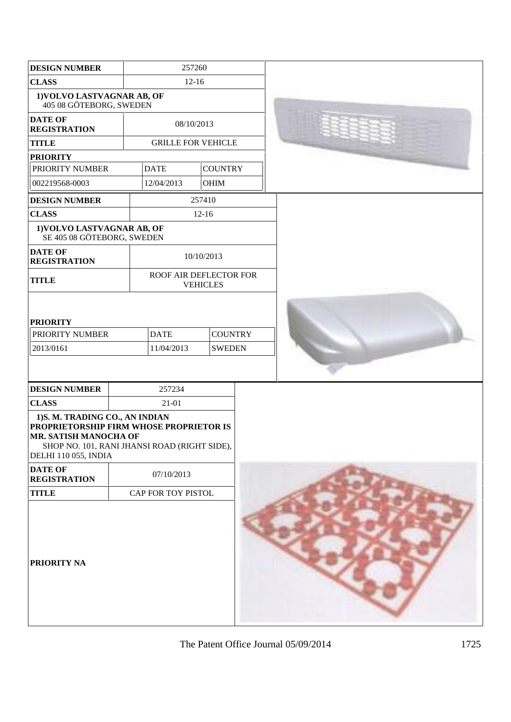| <b>DESIGN NUMBER</b>                                                                                                                                                       |  | 257260                                                       |                |  |  |
|----------------------------------------------------------------------------------------------------------------------------------------------------------------------------|--|--------------------------------------------------------------|----------------|--|--|
| <b>CLASS</b>                                                                                                                                                               |  | $12 - 16$                                                    |                |  |  |
| 1) VOLVO LASTVAGNAR AB, OF<br>405 08 GÖTEBORG, SWEDEN                                                                                                                      |  |                                                              |                |  |  |
| <b>DATE OF</b><br><b>REGISTRATION</b>                                                                                                                                      |  | 08/10/2013                                                   |                |  |  |
| <b>TITLE</b>                                                                                                                                                               |  | <b>GRILLE FOR VEHICLE</b>                                    |                |  |  |
| <b>PRIORITY</b>                                                                                                                                                            |  |                                                              |                |  |  |
| PRIORITY NUMBER                                                                                                                                                            |  | <b>DATE</b>                                                  | <b>COUNTRY</b> |  |  |
| 002219568-0003                                                                                                                                                             |  | 12/04/2013                                                   | <b>OHIM</b>    |  |  |
| <b>DESIGN NUMBER</b>                                                                                                                                                       |  |                                                              | 257410         |  |  |
| <b>CLASS</b>                                                                                                                                                               |  |                                                              | $12-16$        |  |  |
| 1) VOLVO LASTVAGNAR AB, OF<br>SE 405 08 GÖTEBORG, SWEDEN                                                                                                                   |  |                                                              |                |  |  |
| <b>DATE OF</b><br><b>REGISTRATION</b>                                                                                                                                      |  |                                                              | 10/10/2013     |  |  |
| <b>TITLE</b>                                                                                                                                                               |  | ROOF AIR DEFLECTOR FOR<br><b>VEHICLES</b>                    |                |  |  |
| <b>PRIORITY</b><br>PRIORITY NUMBER<br>2013/0161                                                                                                                            |  | <b>COUNTRY</b><br><b>DATE</b><br><b>SWEDEN</b><br>11/04/2013 |                |  |  |
| <b>DESIGN NUMBER</b>                                                                                                                                                       |  | 257234                                                       |                |  |  |
| <b>CLASS</b>                                                                                                                                                               |  | 21-01                                                        |                |  |  |
|                                                                                                                                                                            |  |                                                              |                |  |  |
| 1)S. M. TRADING CO., AN INDIAN<br>PROPRIETORSHIP FIRM WHOSE PROPRIETOR IS<br>MR. SATISH MANOCHA OF<br>SHOP NO. 101, RANI JHANSI ROAD (RIGHT SIDE),<br>DELHI 110 055, INDIA |  |                                                              |                |  |  |
| <b>DATE OF</b><br><b>REGISTRATION</b>                                                                                                                                      |  | 07/10/2013                                                   |                |  |  |
| <b>TITLE</b>                                                                                                                                                               |  | CAP FOR TOY PISTOL                                           |                |  |  |
| PRIORITY NA                                                                                                                                                                |  |                                                              |                |  |  |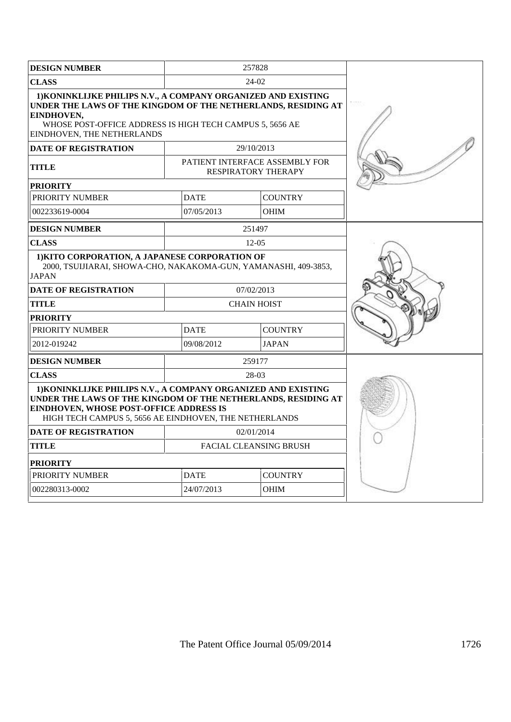| <b>DESIGN NUMBER</b>                                                                                                                                                                                                                       |                               | 257828                                                       |  |
|--------------------------------------------------------------------------------------------------------------------------------------------------------------------------------------------------------------------------------------------|-------------------------------|--------------------------------------------------------------|--|
| <b>CLASS</b>                                                                                                                                                                                                                               |                               | 24-02                                                        |  |
| 1) KONINKLIJKE PHILIPS N.V., A COMPANY ORGANIZED AND EXISTING<br>UNDER THE LAWS OF THE KINGDOM OF THE NETHERLANDS, RESIDING AT<br>EINDHOVEN.<br>WHOSE POST-OFFICE ADDRESS IS HIGH TECH CAMPUS 5, 5656 AE<br>EINDHOVEN, THE NETHERLANDS     |                               |                                                              |  |
| <b>DATE OF REGISTRATION</b>                                                                                                                                                                                                                |                               | 29/10/2013                                                   |  |
| <b>TITLE</b>                                                                                                                                                                                                                               |                               | PATIENT INTERFACE ASSEMBLY FOR<br><b>RESPIRATORY THERAPY</b> |  |
| <b>PRIORITY</b>                                                                                                                                                                                                                            |                               |                                                              |  |
| PRIORITY NUMBER                                                                                                                                                                                                                            | <b>DATE</b>                   | <b>COUNTRY</b>                                               |  |
| 002233619-0004                                                                                                                                                                                                                             | 07/05/2013                    | <b>OHIM</b>                                                  |  |
| <b>DESIGN NUMBER</b>                                                                                                                                                                                                                       |                               | 251497                                                       |  |
| <b>CLASS</b>                                                                                                                                                                                                                               |                               | 12-05                                                        |  |
| 1) KITO CORPORATION, A JAPANESE CORPORATION OF<br>2000, TSUIJIARAI, SHOWA-CHO, NAKAKOMA-GUN, YAMANASHI, 409-3853,<br><b>JAPAN</b>                                                                                                          |                               |                                                              |  |
| <b>DATE OF REGISTRATION</b>                                                                                                                                                                                                                |                               | 07/02/2013                                                   |  |
| <b>TITLE</b>                                                                                                                                                                                                                               |                               | <b>CHAIN HOIST</b>                                           |  |
| <b>PRIORITY</b>                                                                                                                                                                                                                            |                               |                                                              |  |
| PRIORITY NUMBER                                                                                                                                                                                                                            | <b>DATE</b>                   | <b>COUNTRY</b>                                               |  |
| 2012-019242                                                                                                                                                                                                                                | 09/08/2012                    | <b>JAPAN</b>                                                 |  |
| <b>DESIGN NUMBER</b>                                                                                                                                                                                                                       |                               | 259177                                                       |  |
| <b>CLASS</b>                                                                                                                                                                                                                               |                               | 28-03                                                        |  |
| 1) KONINKLIJKE PHILIPS N.V., A COMPANY ORGANIZED AND EXISTING<br>UNDER THE LAWS OF THE KINGDOM OF THE NETHERLANDS, RESIDING AT<br><b>EINDHOVEN, WHOSE POST-OFFICE ADDRESS IS</b><br>HIGH TECH CAMPUS 5, 5656 AE EINDHOVEN, THE NETHERLANDS |                               |                                                              |  |
| <b>DATE OF REGISTRATION</b>                                                                                                                                                                                                                |                               | 02/01/2014                                                   |  |
| <b>TITLE</b>                                                                                                                                                                                                                               | <b>FACIAL CLEANSING BRUSH</b> |                                                              |  |
| PRIORITY                                                                                                                                                                                                                                   |                               |                                                              |  |
| PRIORITY NUMBER                                                                                                                                                                                                                            | <b>DATE</b>                   | <b>COUNTRY</b>                                               |  |
| 002280313-0002                                                                                                                                                                                                                             | 24/07/2013                    | <b>OHIM</b>                                                  |  |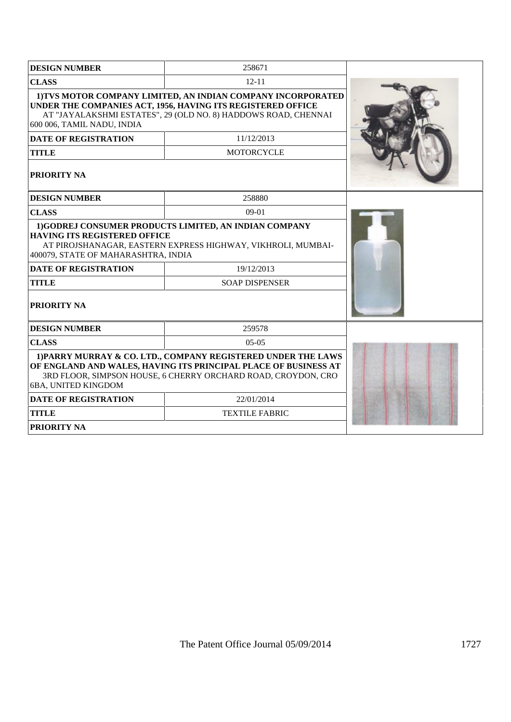| <b>DESIGN NUMBER</b>                                                                                                                                                                                                        | 258671                                                                                                                |  |
|-----------------------------------------------------------------------------------------------------------------------------------------------------------------------------------------------------------------------------|-----------------------------------------------------------------------------------------------------------------------|--|
| <b>CLASS</b>                                                                                                                                                                                                                | $12 - 11$                                                                                                             |  |
| 1) TVS MOTOR COMPANY LIMITED, AN INDIAN COMPANY INCORPORATED<br>UNDER THE COMPANIES ACT, 1956, HAVING ITS REGISTERED OFFICE<br>AT "JAYALAKSHMI ESTATES", 29 (OLD NO. 8) HADDOWS ROAD, CHENNAI<br>600 006, TAMIL NADU, INDIA |                                                                                                                       |  |
| <b>DATE OF REGISTRATION</b>                                                                                                                                                                                                 | 11/12/2013                                                                                                            |  |
| <b>TITLE</b>                                                                                                                                                                                                                | <b>MOTORCYCLE</b>                                                                                                     |  |
| <b>PRIORITY NA</b>                                                                                                                                                                                                          |                                                                                                                       |  |
| <b>DESIGN NUMBER</b>                                                                                                                                                                                                        | 258880                                                                                                                |  |
| <b>CLASS</b>                                                                                                                                                                                                                | $09-01$                                                                                                               |  |
| <b>HAVING ITS REGISTERED OFFICE</b><br>400079, STATE OF MAHARASHTRA, INDIA                                                                                                                                                  | 1)GODREJ CONSUMER PRODUCTS LIMITED, AN INDIAN COMPANY<br>AT PIROJSHANAGAR, EASTERN EXPRESS HIGHWAY, VIKHROLI, MUMBAI- |  |
| <b>DATE OF REGISTRATION</b>                                                                                                                                                                                                 | 19/12/2013                                                                                                            |  |
| <b>TITLE</b>                                                                                                                                                                                                                |                                                                                                                       |  |
| <b>PRIORITY NA</b>                                                                                                                                                                                                          |                                                                                                                       |  |
| <b>DESIGN NUMBER</b>                                                                                                                                                                                                        | 259578                                                                                                                |  |
| <b>CLASS</b>                                                                                                                                                                                                                | $05-05$                                                                                                               |  |
| 1) PARRY MURRAY & CO. LTD., COMPANY REGISTERED UNDER THE LAWS<br>OF ENGLAND AND WALES, HAVING ITS PRINCIPAL PLACE OF BUSINESS AT<br>3RD FLOOR, SIMPSON HOUSE, 6 CHERRY ORCHARD ROAD, CROYDON, CRO<br>6BA, UNITED KINGDOM    |                                                                                                                       |  |
| <b>DATE OF REGISTRATION</b>                                                                                                                                                                                                 | 22/01/2014                                                                                                            |  |
| <b>TITLE</b>                                                                                                                                                                                                                | <b>TEXTILE FABRIC</b>                                                                                                 |  |
| <b>PRIORITY NA</b>                                                                                                                                                                                                          |                                                                                                                       |  |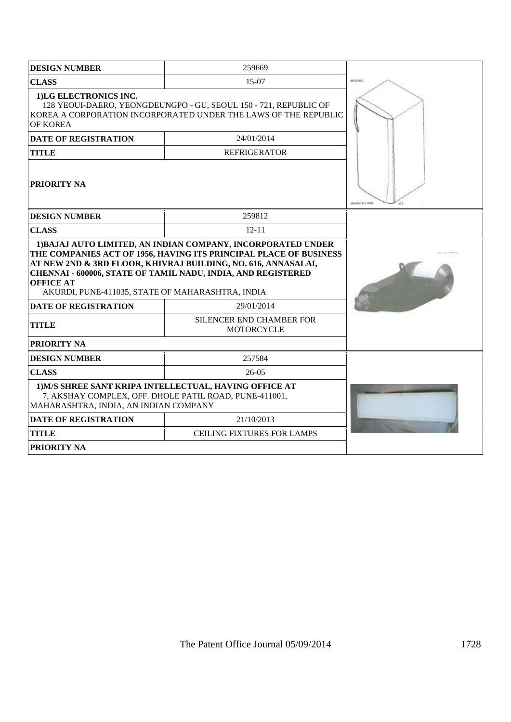| <b>DESIGN NUMBER</b>                                                                                                                                                     | 259669                                                                                                                                                                                                                                                             |                       |
|--------------------------------------------------------------------------------------------------------------------------------------------------------------------------|--------------------------------------------------------------------------------------------------------------------------------------------------------------------------------------------------------------------------------------------------------------------|-----------------------|
| <b>CLASS</b>                                                                                                                                                             | 15-07                                                                                                                                                                                                                                                              | NICS ISC.             |
| 1)LG ELECTRONICS INC.<br>128 YEOUI-DAERO, YEONGDEUNGPO - GU, SEOUL 150 - 721, REPUBLIC OF<br>KOREA A CORPORATION INCORPORATED UNDER THE LAWS OF THE REPUBLIC<br>OF KOREA |                                                                                                                                                                                                                                                                    |                       |
| <b>DATE OF REGISTRATION</b>                                                                                                                                              |                                                                                                                                                                                                                                                                    |                       |
| <b>TITLE</b>                                                                                                                                                             | <b>REFRIGERATOR</b>                                                                                                                                                                                                                                                |                       |
| <b> PRIORITY NA</b>                                                                                                                                                      |                                                                                                                                                                                                                                                                    | <b>HOURSCOTE VIEW</b> |
| <b>DESIGN NUMBER</b>                                                                                                                                                     | 259812                                                                                                                                                                                                                                                             |                       |
| <b>CLASS</b>                                                                                                                                                             | $12 - 11$                                                                                                                                                                                                                                                          |                       |
| <b>OFFICE AT</b><br>AKURDI, PUNE-411035, STATE OF MAHARASHTRA, INDIA                                                                                                     | 1) BAJAJ AUTO LIMITED, AN INDIAN COMPANY, INCORPORATED UNDER<br>THE COMPANIES ACT OF 1956, HAVING ITS PRINCIPAL PLACE OF BUSINESS<br>AT NEW 2ND & 3RD FLOOR, KHIVRAJ BUILDING, NO. 616, ANNASALAI,<br>CHENNAI - 600006, STATE OF TAMIL NADU, INDIA, AND REGISTERED |                       |
| <b>DATE OF REGISTRATION</b>                                                                                                                                              |                                                                                                                                                                                                                                                                    |                       |
| <b>TITLE</b>                                                                                                                                                             | SILENCER END CHAMBER FOR<br><b>MOTORCYCLE</b>                                                                                                                                                                                                                      |                       |
| <b>PRIORITY NA</b>                                                                                                                                                       |                                                                                                                                                                                                                                                                    |                       |
| <b>DESIGN NUMBER</b>                                                                                                                                                     | 257584                                                                                                                                                                                                                                                             |                       |
| <b>CLASS</b>                                                                                                                                                             |                                                                                                                                                                                                                                                                    |                       |
| 1) M/S SHREE SANT KRIPA INTELLECTUAL, HAVING OFFICE AT<br>7, AKSHAY COMPLEX, OFF. DHOLE PATIL ROAD, PUNE-411001,<br>MAHARASHTRA, INDIA, AN INDIAN COMPANY                |                                                                                                                                                                                                                                                                    |                       |
| <b>DATE OF REGISTRATION</b>                                                                                                                                              | 21/10/2013                                                                                                                                                                                                                                                         |                       |
| <b>TITLE</b>                                                                                                                                                             | <b>CEILING FIXTURES FOR LAMPS</b>                                                                                                                                                                                                                                  |                       |
| <b>PRIORITY NA</b>                                                                                                                                                       |                                                                                                                                                                                                                                                                    |                       |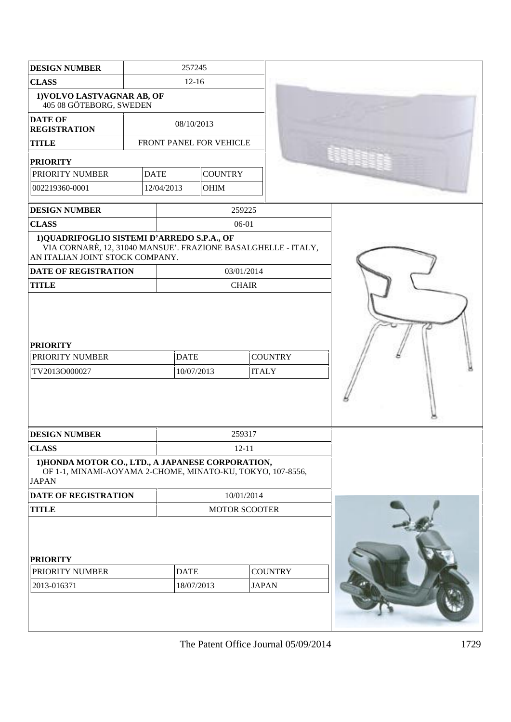| <b>DESIGN NUMBER</b>                                                                                                                            | 257245                  |             |                                                             |                |              |                |  |
|-------------------------------------------------------------------------------------------------------------------------------------------------|-------------------------|-------------|-------------------------------------------------------------|----------------|--------------|----------------|--|
| <b>CLASS</b>                                                                                                                                    |                         |             | $12-16$                                                     |                |              |                |  |
| 1) VOLVO LASTVAGNAR AB, OF<br>405 08 GÖTEBORG, SWEDEN                                                                                           |                         |             |                                                             |                |              |                |  |
| <b>DATE OF</b><br><b>REGISTRATION</b>                                                                                                           |                         |             | 08/10/2013                                                  |                |              |                |  |
| <b>TITLE</b>                                                                                                                                    | FRONT PANEL FOR VEHICLE |             |                                                             |                |              |                |  |
| <b>PRIORITY</b>                                                                                                                                 |                         |             |                                                             |                |              |                |  |
| PRIORITY NUMBER                                                                                                                                 |                         | <b>DATE</b> |                                                             | <b>COUNTRY</b> |              |                |  |
| 002219360-0001                                                                                                                                  |                         | 12/04/2013  |                                                             | OHIM           |              |                |  |
|                                                                                                                                                 |                         |             |                                                             |                |              |                |  |
| <b>DESIGN NUMBER</b>                                                                                                                            |                         |             |                                                             |                | 259225       |                |  |
| <b>CLASS</b>                                                                                                                                    |                         |             |                                                             |                | 06-01        |                |  |
| 1) QUADRIFOGLIO SISTEMI D'ARREDO S.P.A., OF<br>VIA CORNARÈ, 12, 31040 MANSUE'. FRAZIONE BASALGHELLE - ITALY,<br>AN ITALIAN JOINT STOCK COMPANY. |                         |             |                                                             |                |              |                |  |
| DATE OF REGISTRATION                                                                                                                            |                         |             |                                                             |                | 03/01/2014   |                |  |
| <b>TITLE</b>                                                                                                                                    |                         |             |                                                             |                | <b>CHAIR</b> |                |  |
| <b>PRIORITY</b><br>PRIORITY NUMBER<br>TV2013O000027                                                                                             |                         |             | <b>DATE</b><br><b>COUNTRY</b><br>10/07/2013<br><b>ITALY</b> |                |              |                |  |
| <b>DESIGN NUMBER</b>                                                                                                                            |                         |             |                                                             |                | 259317       |                |  |
| <b>CLASS</b>                                                                                                                                    |                         |             |                                                             |                | $12 - 11$    |                |  |
| 1) HONDA MOTOR CO., LTD., A JAPANESE CORPORATION,<br>OF 1-1, MINAMI-AOYAMA 2-CHOME, MINATO-KU, TOKYO, 107-8556,<br><b>JAPAN</b>                 |                         |             |                                                             |                |              |                |  |
| <b>DATE OF REGISTRATION</b>                                                                                                                     |                         |             |                                                             |                | 10/01/2014   |                |  |
| <b>TITLE</b>                                                                                                                                    |                         |             | <b>MOTOR SCOOTER</b>                                        |                |              |                |  |
| <b>PRIORITY</b>                                                                                                                                 |                         |             |                                                             |                |              |                |  |
| PRIORITY NUMBER                                                                                                                                 |                         |             | <b>DATE</b>                                                 |                |              | <b>COUNTRY</b> |  |
| 2013-016371                                                                                                                                     |                         |             | 18/07/2013                                                  |                |              | <b>JAPAN</b>   |  |
|                                                                                                                                                 |                         |             |                                                             |                |              |                |  |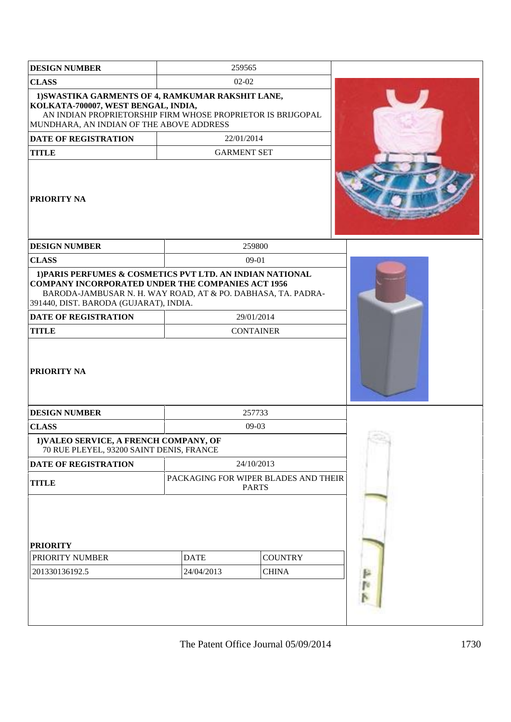| <b>DESIGN NUMBER</b>                                                                                                                                                                                                            |             | 259565                                               |  |
|---------------------------------------------------------------------------------------------------------------------------------------------------------------------------------------------------------------------------------|-------------|------------------------------------------------------|--|
| <b>CLASS</b>                                                                                                                                                                                                                    |             | $02-02$                                              |  |
| 1) SWASTIKA GARMENTS OF 4, RAMKUMAR RAKSHIT LANE,<br>KOLKATA-700007, WEST BENGAL, INDIA,<br>AN INDIAN PROPRIETORSHIP FIRM WHOSE PROPRIETOR IS BRIJGOPAL<br>MUNDHARA, AN INDIAN OF THE ABOVE ADDRESS                             |             |                                                      |  |
| <b>DATE OF REGISTRATION</b>                                                                                                                                                                                                     |             | 22/01/2014                                           |  |
| <b>TITLE</b>                                                                                                                                                                                                                    |             | <b>GARMENT SET</b>                                   |  |
| <b>PRIORITY NA</b>                                                                                                                                                                                                              |             |                                                      |  |
| <b>DESIGN NUMBER</b>                                                                                                                                                                                                            |             | 259800                                               |  |
| <b>CLASS</b>                                                                                                                                                                                                                    |             | $09-01$                                              |  |
| 1) PARIS PERFUMES & COSMETICS PVT LTD. AN INDIAN NATIONAL<br><b>COMPANY INCORPORATED UNDER THE COMPANIES ACT 1956</b><br>BARODA-JAMBUSAR N. H. WAY ROAD, AT & PO. DABHASA, TA. PADRA-<br>391440, DIST. BARODA (GUJARAT), INDIA. |             |                                                      |  |
| <b>DATE OF REGISTRATION</b>                                                                                                                                                                                                     |             | 29/01/2014                                           |  |
| <b>TITLE</b>                                                                                                                                                                                                                    |             |                                                      |  |
| <b>PRIORITY NA</b>                                                                                                                                                                                                              |             |                                                      |  |
| <b>DESIGN NUMBER</b>                                                                                                                                                                                                            |             | 257733                                               |  |
| <b>CLASS</b>                                                                                                                                                                                                                    |             | 09-03                                                |  |
| 1) VALEO SERVICE, A FRENCH COMPANY, OF<br>70 RUE PLEYEL, 93200 SAINT DENIS, FRANCE                                                                                                                                              |             |                                                      |  |
| DATE OF REGISTRATION                                                                                                                                                                                                            |             | 24/10/2013                                           |  |
| <b>TITLE</b>                                                                                                                                                                                                                    |             | PACKAGING FOR WIPER BLADES AND THEIR<br><b>PARTS</b> |  |
| <b>PRIORITY</b><br>PRIORITY NUMBER                                                                                                                                                                                              | <b>DATE</b> | <b>COUNTRY</b>                                       |  |
| 201330136192.5                                                                                                                                                                                                                  | 24/04/2013  | <b>CHINA</b>                                         |  |
|                                                                                                                                                                                                                                 |             |                                                      |  |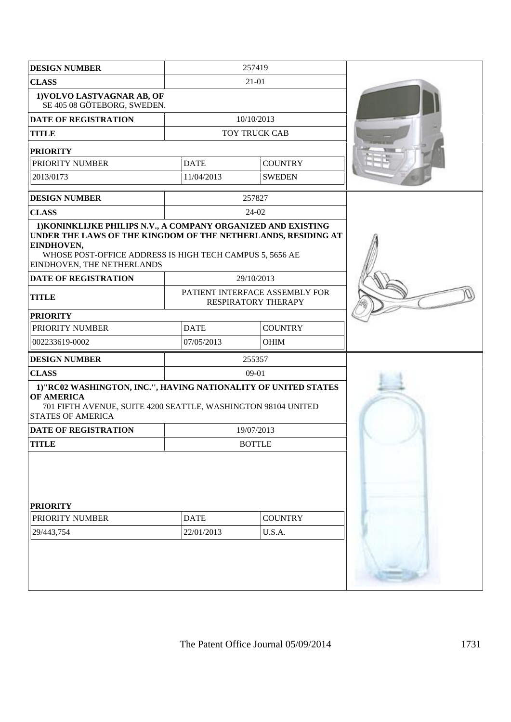| <b>DESIGN NUMBER</b>                                                                                                                                                                                                                   |                               | 257419                                                |  |
|----------------------------------------------------------------------------------------------------------------------------------------------------------------------------------------------------------------------------------------|-------------------------------|-------------------------------------------------------|--|
| <b>CLASS</b>                                                                                                                                                                                                                           |                               |                                                       |  |
| 1) VOLVO LASTVAGNAR AB, OF<br>SE 405 08 GÖTEBORG, SWEDEN.                                                                                                                                                                              |                               |                                                       |  |
| <b>DATE OF REGISTRATION</b>                                                                                                                                                                                                            | 10/10/2013                    |                                                       |  |
| <b>TITLE</b>                                                                                                                                                                                                                           |                               | TOY TRUCK CAB                                         |  |
| <b>PRIORITY</b>                                                                                                                                                                                                                        |                               |                                                       |  |
| PRIORITY NUMBER                                                                                                                                                                                                                        | <b>DATE</b><br><b>COUNTRY</b> |                                                       |  |
| 2013/0173                                                                                                                                                                                                                              | 11/04/2013                    | <b>SWEDEN</b>                                         |  |
| <b>DESIGN NUMBER</b>                                                                                                                                                                                                                   |                               | 257827                                                |  |
| <b>CLASS</b>                                                                                                                                                                                                                           |                               | 24-02                                                 |  |
| 1) KONINKLIJKE PHILIPS N.V., A COMPANY ORGANIZED AND EXISTING<br>UNDER THE LAWS OF THE KINGDOM OF THE NETHERLANDS, RESIDING AT<br>EINDHOVEN,<br>WHOSE POST-OFFICE ADDRESS IS HIGH TECH CAMPUS 5, 5656 AE<br>EINDHOVEN, THE NETHERLANDS |                               |                                                       |  |
| <b>DATE OF REGISTRATION</b>                                                                                                                                                                                                            |                               | 29/10/2013                                            |  |
| <b>TITLE</b>                                                                                                                                                                                                                           |                               | PATIENT INTERFACE ASSEMBLY FOR<br>RESPIRATORY THERAPY |  |
| <b>PRIORITY</b>                                                                                                                                                                                                                        |                               |                                                       |  |
| PRIORITY NUMBER                                                                                                                                                                                                                        | <b>DATE</b>                   | <b>COUNTRY</b>                                        |  |
| 002233619-0002                                                                                                                                                                                                                         | 07/05/2013                    | OHIM                                                  |  |
| <b>DESIGN NUMBER</b>                                                                                                                                                                                                                   |                               | 255357                                                |  |
| <b>CLASS</b>                                                                                                                                                                                                                           |                               |                                                       |  |
| 1)"RC02 WASHINGTON, INC.", HAVING NATIONALITY OF UNITED STATES<br><b>OF AMERICA</b><br>701 FIFTH AVENUE, SUITE 4200 SEATTLE, WASHINGTON 98104 UNITED<br><b>STATES OF AMERICA</b><br><b>DATE OF REGISTRATION</b>                        |                               |                                                       |  |
| <b>TITLE</b>                                                                                                                                                                                                                           |                               | <b>BOTTLE</b>                                         |  |
| <b>PRIORITY</b>                                                                                                                                                                                                                        |                               |                                                       |  |
| PRIORITY NUMBER                                                                                                                                                                                                                        | <b>DATE</b>                   | <b>COUNTRY</b>                                        |  |
| 29/443,754                                                                                                                                                                                                                             | 22/01/2013                    | U.S.A.                                                |  |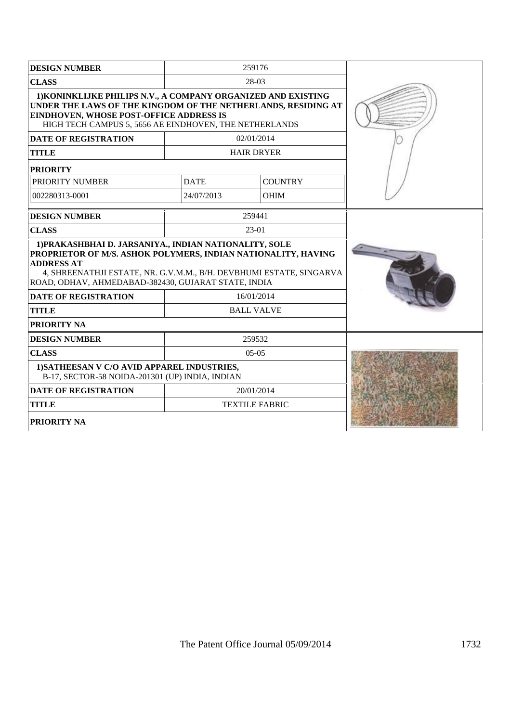| <b>DESIGN NUMBER</b>                                                                                                                                                                                                                                                       |             |                   |  |  |
|----------------------------------------------------------------------------------------------------------------------------------------------------------------------------------------------------------------------------------------------------------------------------|-------------|-------------------|--|--|
| <b>CLASS</b>                                                                                                                                                                                                                                                               |             |                   |  |  |
| 1) KONINKLIJKE PHILIPS N.V., A COMPANY ORGANIZED AND EXISTING<br>UNDER THE LAWS OF THE KINGDOM OF THE NETHERLANDS, RESIDING AT<br><b>EINDHOVEN, WHOSE POST-OFFICE ADDRESS IS</b><br>HIGH TECH CAMPUS 5, 5656 AE EINDHOVEN, THE NETHERLANDS                                 |             |                   |  |  |
| <b>DATE OF REGISTRATION</b>                                                                                                                                                                                                                                                |             | 02/01/2014        |  |  |
| <b>TITLE</b>                                                                                                                                                                                                                                                               |             | <b>HAIR DRYER</b> |  |  |
| <b>PRIORITY</b>                                                                                                                                                                                                                                                            |             |                   |  |  |
| PRIORITY NUMBER                                                                                                                                                                                                                                                            | <b>DATE</b> | <b>COUNTRY</b>    |  |  |
| 002280313-0001                                                                                                                                                                                                                                                             | 24/07/2013  | <b>OHIM</b>       |  |  |
| <b>DESIGN NUMBER</b>                                                                                                                                                                                                                                                       |             | 259441            |  |  |
| <b>CLASS</b>                                                                                                                                                                                                                                                               |             | 23-01             |  |  |
| 1) PRAKASHBHAI D. JARSANIYA., INDIAN NATIONALITY, SOLE<br>PROPRIETOR OF M/S. ASHOK POLYMERS, INDIAN NATIONALITY, HAVING<br><b>ADDRESS AT</b><br>4, SHREENATHJI ESTATE, NR. G.V.M.M., B/H. DEVBHUMI ESTATE, SINGARVA<br>ROAD, ODHAV, AHMEDABAD-382430, GUJARAT STATE, INDIA |             |                   |  |  |
| <b>DATE OF REGISTRATION</b>                                                                                                                                                                                                                                                | 16/01/2014  |                   |  |  |
| <b>TITLE</b>                                                                                                                                                                                                                                                               |             | <b>BALL VALVE</b> |  |  |
| <b>PRIORITY NA</b>                                                                                                                                                                                                                                                         |             |                   |  |  |
| <b>DESIGN NUMBER</b>                                                                                                                                                                                                                                                       |             | 259532            |  |  |
| <b>CLASS</b>                                                                                                                                                                                                                                                               | $0.5 - 0.5$ |                   |  |  |
| 1) SATHEESAN V C/O AVID APPAREL INDUSTRIES,<br>B-17, SECTOR-58 NOIDA-201301 (UP) INDIA, INDIAN                                                                                                                                                                             |             |                   |  |  |
| <b>DATE OF REGISTRATION</b>                                                                                                                                                                                                                                                |             |                   |  |  |
| <b>TITLE</b>                                                                                                                                                                                                                                                               |             |                   |  |  |
| <b>PRIORITY NA</b>                                                                                                                                                                                                                                                         |             |                   |  |  |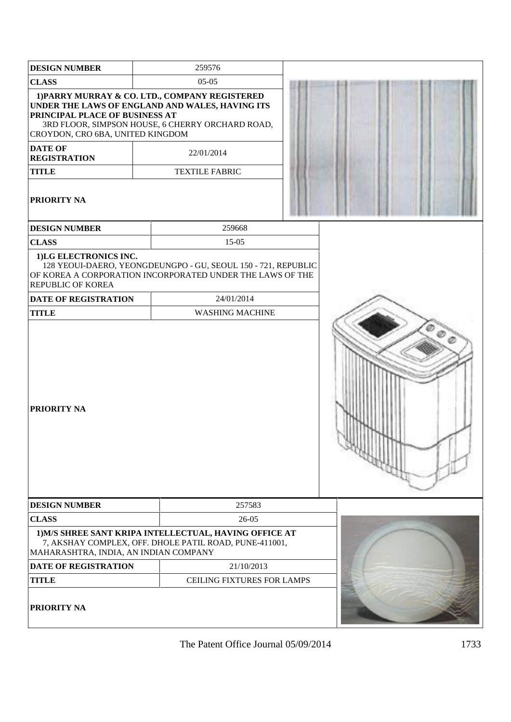| <b>DESIGN NUMBER</b>                                                                                                                       | 259576                                                                                                                                                                                       |  |
|--------------------------------------------------------------------------------------------------------------------------------------------|----------------------------------------------------------------------------------------------------------------------------------------------------------------------------------------------|--|
| <b>CLASS</b>                                                                                                                               | $05 - 05$                                                                                                                                                                                    |  |
| PRINCIPAL PLACE OF BUSINESS AT<br>CROYDON, CRO 6BA, UNITED KINGDOM<br><b>DATE OF</b><br><b>REGISTRATION</b><br><b>TITLE</b><br>PRIORITY NA | 1) PARRY MURRAY & CO. LTD., COMPANY REGISTERED<br>UNDER THE LAWS OF ENGLAND AND WALES, HAVING ITS<br>3RD FLOOR, SIMPSON HOUSE, 6 CHERRY ORCHARD ROAD,<br>22/01/2014<br><b>TEXTILE FABRIC</b> |  |
| <b>DESIGN NUMBER</b>                                                                                                                       | 259668                                                                                                                                                                                       |  |
| <b>CLASS</b>                                                                                                                               | $15 - 05$                                                                                                                                                                                    |  |
| 1)LG ELECTRONICS INC.<br>REPUBLIC OF KOREA                                                                                                 | 128 YEOUI-DAERO, YEONGDEUNGPO - GU, SEOUL 150 - 721, REPUBLIC<br>OF KOREA A CORPORATION INCORPORATED UNDER THE LAWS OF THE                                                                   |  |
| <b>DATE OF REGISTRATION</b>                                                                                                                | 24/01/2014                                                                                                                                                                                   |  |
| <b>TITLE</b>                                                                                                                               | <b>WASHING MACHINE</b>                                                                                                                                                                       |  |
| <b>PRIORITY NA</b>                                                                                                                         |                                                                                                                                                                                              |  |
| <b>DESIGN NUMBER</b>                                                                                                                       | 257583                                                                                                                                                                                       |  |
| <b>CLASS</b>                                                                                                                               | $26 - 05$                                                                                                                                                                                    |  |
| MAHARASHTRA, INDIA, AN INDIAN COMPANY                                                                                                      | 1) M/S SHREE SANT KRIPA INTELLECTUAL, HAVING OFFICE AT<br>7, AKSHAY COMPLEX, OFF. DHOLE PATIL ROAD, PUNE-411001,                                                                             |  |
| <b>DATE OF REGISTRATION</b>                                                                                                                | 21/10/2013                                                                                                                                                                                   |  |
| <b>TITLE</b>                                                                                                                               | CEILING FIXTURES FOR LAMPS                                                                                                                                                                   |  |
| PRIORITY NA                                                                                                                                |                                                                                                                                                                                              |  |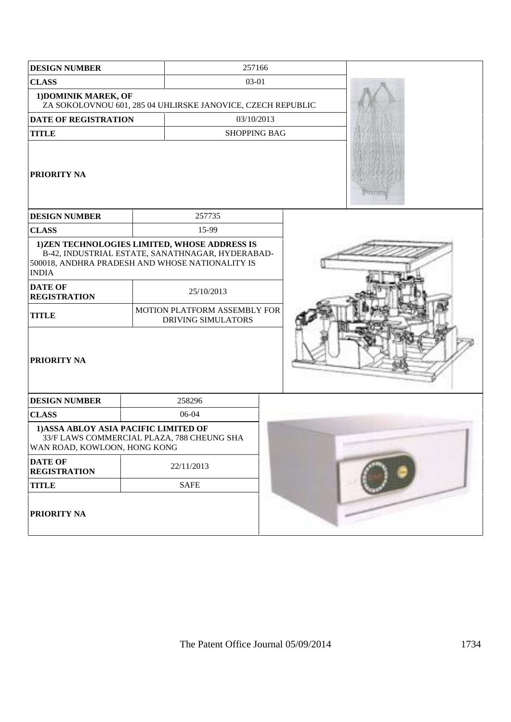| <b>DESIGN NUMBER</b>                                                                | 257166                                                                                                                                              |                     |  |
|-------------------------------------------------------------------------------------|-----------------------------------------------------------------------------------------------------------------------------------------------------|---------------------|--|
| <b>CLASS</b>                                                                        |                                                                                                                                                     | 03-01               |  |
| 1) DOMINIK MAREK, OF<br>ZA SOKOLOVNOU 601, 285 04 UHLIRSKE JANOVICE, CZECH REPUBLIC |                                                                                                                                                     |                     |  |
| <b>DATE OF REGISTRATION</b>                                                         |                                                                                                                                                     | 03/10/2013          |  |
| <b>TITLE</b>                                                                        |                                                                                                                                                     | <b>SHOPPING BAG</b> |  |
| <b>PRIORITY NA</b>                                                                  |                                                                                                                                                     |                     |  |
| <b>DESIGN NUMBER</b>                                                                | 257735                                                                                                                                              |                     |  |
| <b>CLASS</b>                                                                        | 15-99                                                                                                                                               |                     |  |
| <b>INDIA</b>                                                                        | 1)ZEN TECHNOLOGIES LIMITED, WHOSE ADDRESS IS<br>B-42, INDUSTRIAL ESTATE, SANATHNAGAR, HYDERABAD-<br>500018, ANDHRA PRADESH AND WHOSE NATIONALITY IS |                     |  |
| <b>DATE OF</b><br><b>REGISTRATION</b>                                               | 25/10/2013                                                                                                                                          |                     |  |
| <b>TITLE</b>                                                                        | MOTION PLATFORM ASSEMBLY FOR<br><b>DRIVING SIMULATORS</b>                                                                                           |                     |  |
| <b>PRIORITY NA</b>                                                                  |                                                                                                                                                     |                     |  |
| <b>DESIGN NUMBER</b>                                                                | 258296                                                                                                                                              |                     |  |
| <b>CLASS</b>                                                                        | 06-04                                                                                                                                               |                     |  |
| 1) ASSA ABLOY ASIA PACIFIC LIMITED OF<br>WAN ROAD, KOWLOON, HONG KONG               | 33/F LAWS COMMERCIAL PLAZA, 788 CHEUNG SHA                                                                                                          |                     |  |
| <b>DATE OF</b><br><b>REGISTRATION</b>                                               | 22/11/2013                                                                                                                                          |                     |  |
| <b>TITLE</b>                                                                        | <b>SAFE</b>                                                                                                                                         |                     |  |
| PRIORITY NA                                                                         |                                                                                                                                                     |                     |  |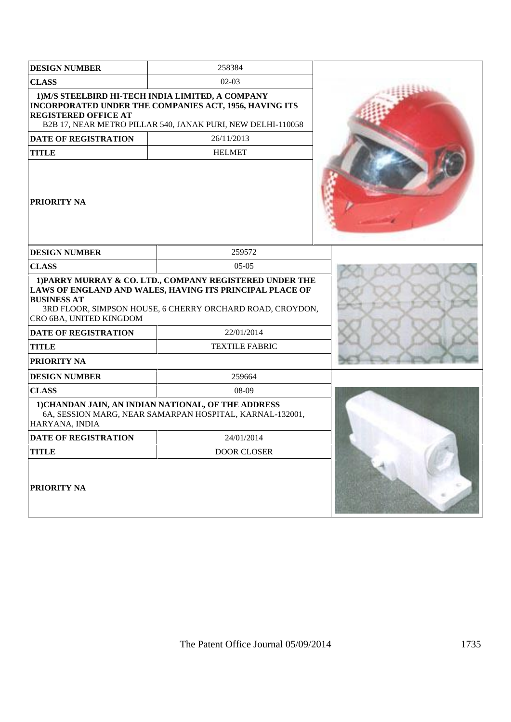| <b>DESIGN NUMBER</b>                          | 258384                                                                                                                                                                            |  |
|-----------------------------------------------|-----------------------------------------------------------------------------------------------------------------------------------------------------------------------------------|--|
| <b>CLASS</b>                                  | $02-03$                                                                                                                                                                           |  |
| <b>REGISTERED OFFICE AT</b>                   | 1) M/S STEELBIRD HI-TECH INDIA LIMITED, A COMPANY<br>INCORPORATED UNDER THE COMPANIES ACT, 1956, HAVING ITS<br>B2B 17, NEAR METRO PILLAR 540, JANAK PURI, NEW DELHI-110058        |  |
| <b>DATE OF REGISTRATION</b>                   | 26/11/2013                                                                                                                                                                        |  |
| <b>TITLE</b>                                  | <b>HELMET</b>                                                                                                                                                                     |  |
| <b>PRIORITY NA</b>                            |                                                                                                                                                                                   |  |
| <b>DESIGN NUMBER</b>                          | 259572                                                                                                                                                                            |  |
| <b>CLASS</b>                                  | $05-05$                                                                                                                                                                           |  |
| <b>BUSINESS AT</b><br>CRO 6BA, UNITED KINGDOM | 1) PARRY MURRAY & CO. LTD., COMPANY REGISTERED UNDER THE<br>LAWS OF ENGLAND AND WALES, HAVING ITS PRINCIPAL PLACE OF<br>3RD FLOOR, SIMPSON HOUSE, 6 CHERRY ORCHARD ROAD, CROYDON, |  |
| <b>DATE OF REGISTRATION</b>                   | 22/01/2014                                                                                                                                                                        |  |
| <b>TITLE</b>                                  | <b>TEXTILE FABRIC</b>                                                                                                                                                             |  |
| <b>PRIORITY NA</b>                            |                                                                                                                                                                                   |  |
| <b>DESIGN NUMBER</b>                          | 259664                                                                                                                                                                            |  |
| <b>CLASS</b>                                  | 08-09                                                                                                                                                                             |  |
| HARYANA, INDIA                                | 1) CHANDAN JAIN, AN INDIAN NATIONAL, OF THE ADDRESS<br>6A, SESSION MARG, NEAR SAMARPAN HOSPITAL, KARNAL-132001,                                                                   |  |
| <b>DATE OF REGISTRATION</b>                   | 24/01/2014                                                                                                                                                                        |  |
| <b>TITLE</b>                                  | <b>DOOR CLOSER</b>                                                                                                                                                                |  |
| <b>PRIORITY NA</b>                            |                                                                                                                                                                                   |  |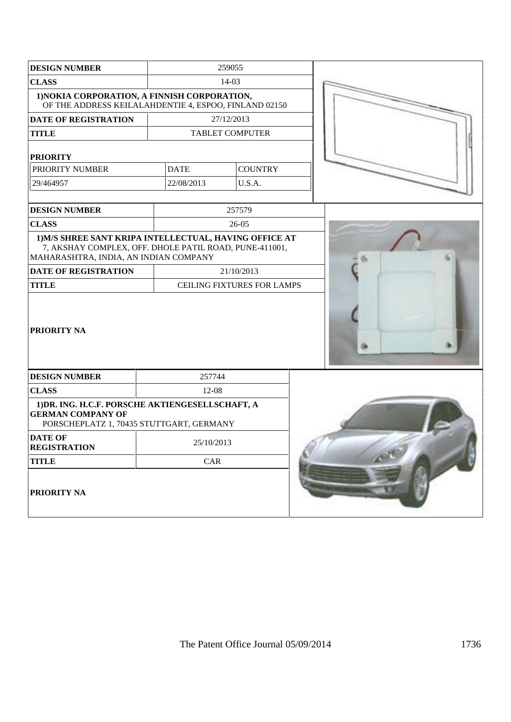| <b>DESIGN NUMBER</b>                                                                                                                                      |             | 259055                            |  |
|-----------------------------------------------------------------------------------------------------------------------------------------------------------|-------------|-----------------------------------|--|
| <b>CLASS</b>                                                                                                                                              |             | $14-03$                           |  |
| 1) NOKIA CORPORATION, A FINNISH CORPORATION,<br>OF THE ADDRESS KEILALAHDENTIE 4, ESPOO, FINLAND 02150                                                     |             |                                   |  |
| <b>DATE OF REGISTRATION</b>                                                                                                                               |             | 27/12/2013                        |  |
| <b>TITLE</b>                                                                                                                                              |             | <b>TABLET COMPUTER</b>            |  |
| <b>PRIORITY</b>                                                                                                                                           |             |                                   |  |
| PRIORITY NUMBER                                                                                                                                           | <b>DATE</b> | <b>COUNTRY</b>                    |  |
| 29/464957                                                                                                                                                 | 22/08/2013  | U.S.A.                            |  |
| <b>DESIGN NUMBER</b>                                                                                                                                      |             | 257579                            |  |
| <b>CLASS</b>                                                                                                                                              |             | 26-05                             |  |
| 1) M/S SHREE SANT KRIPA INTELLECTUAL, HAVING OFFICE AT<br>7, AKSHAY COMPLEX, OFF. DHOLE PATIL ROAD, PUNE-411001,<br>MAHARASHTRA, INDIA, AN INDIAN COMPANY |             |                                   |  |
| <b>DATE OF REGISTRATION</b>                                                                                                                               |             | 21/10/2013                        |  |
| <b>TITLE</b>                                                                                                                                              |             | <b>CEILING FIXTURES FOR LAMPS</b> |  |
| <b>PRIORITY NA</b>                                                                                                                                        |             |                                   |  |
| <b>DESIGN NUMBER</b>                                                                                                                                      | 257744      |                                   |  |
| <b>CLASS</b>                                                                                                                                              | 12-08       |                                   |  |
| 1) DR. ING. H.C.F. PORSCHE AKTIENGESELLSCHAFT, A<br><b>GERMAN COMPANY OF</b><br>PORSCHEPLATZ 1, 70435 STUTTGART, GERMANY                                  |             |                                   |  |
| <b>DATE OF</b><br><b>REGISTRATION</b>                                                                                                                     | 25/10/2013  |                                   |  |
| <b>TITLE</b>                                                                                                                                              | CAR         |                                   |  |
| PRIORITY NA                                                                                                                                               |             |                                   |  |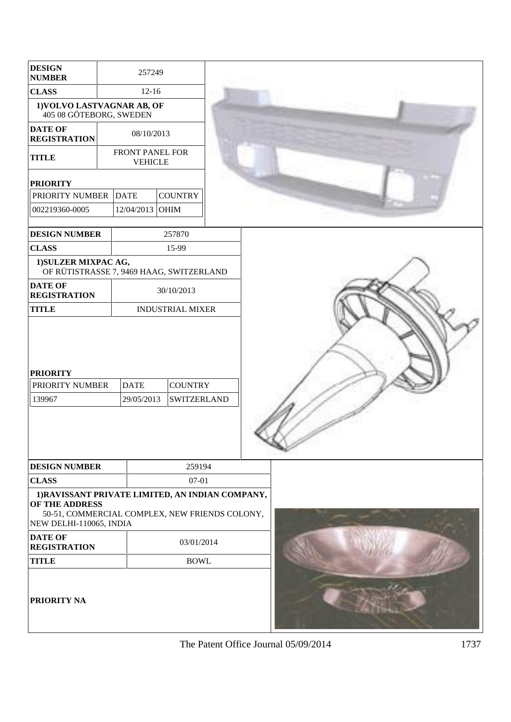| <b>DESIGN</b><br><b>NUMBER</b>                                                                |                                                                    | 257249                            |                                      |                                                |  |  |  |
|-----------------------------------------------------------------------------------------------|--------------------------------------------------------------------|-----------------------------------|--------------------------------------|------------------------------------------------|--|--|--|
| <b>CLASS</b>                                                                                  | $12 - 16$<br>1) VOLVO LASTVAGNAR AB, OF<br>405 08 GÖTEBORG, SWEDEN |                                   |                                      |                                                |  |  |  |
|                                                                                               |                                                                    |                                   |                                      |                                                |  |  |  |
| <b>DATE OF</b><br><b>REGISTRATION</b>                                                         |                                                                    | 08/10/2013                        |                                      |                                                |  |  |  |
| <b>TITLE</b>                                                                                  |                                                                    | FRONT PANEL FOR<br><b>VEHICLE</b> |                                      |                                                |  |  |  |
| <b>PRIORITY</b>                                                                               |                                                                    |                                   |                                      |                                                |  |  |  |
| PRIORITY NUMBER                                                                               |                                                                    | <b>DATE</b>                       | <b>COUNTRY</b>                       |                                                |  |  |  |
| 002219360-0005                                                                                |                                                                    | 12/04/2013 OHIM                   |                                      |                                                |  |  |  |
| <b>DESIGN NUMBER</b>                                                                          |                                                                    |                                   | 257870                               |                                                |  |  |  |
| <b>CLASS</b>                                                                                  |                                                                    |                                   | 15-99                                |                                                |  |  |  |
| 1) SULZER MIXPAC AG,<br>OF RÜTISTRASSE 7, 9469 HAAG, SWITZERLAND                              |                                                                    |                                   |                                      |                                                |  |  |  |
| <b>DATE OF</b><br><b>REGISTRATION</b>                                                         |                                                                    |                                   | 30/10/2013                           |                                                |  |  |  |
| <b>TITLE</b>                                                                                  |                                                                    |                                   | <b>INDUSTRIAL MIXER</b>              |                                                |  |  |  |
| <b>PRIORITY</b><br>PRIORITY NUMBER<br>139967                                                  |                                                                    | <b>DATE</b><br>29/05/2013         | <b>COUNTRY</b><br><b>SWITZERLAND</b> |                                                |  |  |  |
| <b>DESIGN NUMBER</b>                                                                          |                                                                    |                                   | 259194                               |                                                |  |  |  |
| <b>CLASS</b>                                                                                  |                                                                    |                                   | 07-01                                |                                                |  |  |  |
| 1) RAVISSANT PRIVATE LIMITED, AN INDIAN COMPANY,<br>OF THE ADDRESS<br>NEW DELHI-110065, INDIA |                                                                    |                                   |                                      | 50-51, COMMERCIAL COMPLEX, NEW FRIENDS COLONY, |  |  |  |
| <b>DATE OF</b><br><b>REGISTRATION</b>                                                         |                                                                    |                                   | 03/01/2014                           |                                                |  |  |  |
| <b>TITLE</b>                                                                                  |                                                                    |                                   | <b>BOWL</b>                          |                                                |  |  |  |
| <b>PRIORITY NA</b>                                                                            |                                                                    |                                   |                                      |                                                |  |  |  |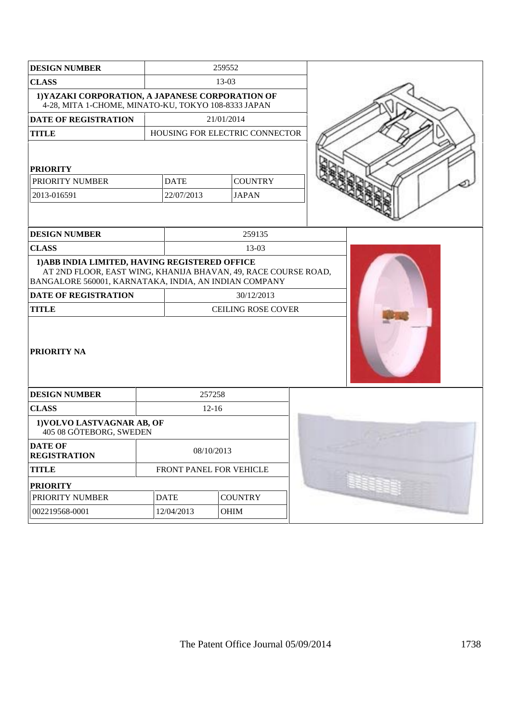| <b>DESIGN NUMBER</b>                                                                                                                                                      |             | 259552     |                                |  |  |
|---------------------------------------------------------------------------------------------------------------------------------------------------------------------------|-------------|------------|--------------------------------|--|--|
| <b>CLASS</b>                                                                                                                                                              | 13-03       |            |                                |  |  |
| 1) YAZAKI CORPORATION, A JAPANESE CORPORATION OF<br>4-28, MITA 1-CHOME, MINATO-KU, TOKYO 108-8333 JAPAN                                                                   |             |            |                                |  |  |
| <b>DATE OF REGISTRATION</b>                                                                                                                                               |             |            | 21/01/2014                     |  |  |
| <b>TITLE</b>                                                                                                                                                              |             |            | HOUSING FOR ELECTRIC CONNECTOR |  |  |
| <b>PRIORITY</b>                                                                                                                                                           |             |            |                                |  |  |
| PRIORITY NUMBER                                                                                                                                                           | <b>DATE</b> |            | <b>COUNTRY</b>                 |  |  |
| 2013-016591                                                                                                                                                               | 22/07/2013  |            | <b>JAPAN</b>                   |  |  |
|                                                                                                                                                                           |             |            |                                |  |  |
| <b>DESIGN NUMBER</b>                                                                                                                                                      |             |            | 259135                         |  |  |
| <b>CLASS</b>                                                                                                                                                              |             |            | 13-03                          |  |  |
| 1) ABB INDIA LIMITED, HAVING REGISTERED OFFICE<br>AT 2ND FLOOR, EAST WING, KHANIJA BHAVAN, 49, RACE COURSE ROAD,<br>BANGALORE 560001, KARNATAKA, INDIA, AN INDIAN COMPANY |             |            |                                |  |  |
| <b>DATE OF REGISTRATION</b>                                                                                                                                               |             |            | 30/12/2013                     |  |  |
| <b>TITLE</b>                                                                                                                                                              |             |            | <b>CEILING ROSE COVER</b>      |  |  |
| <b>PRIORITY NA</b>                                                                                                                                                        |             |            |                                |  |  |
| <b>DESIGN NUMBER</b>                                                                                                                                                      |             | 257258     |                                |  |  |
| <b>CLASS</b>                                                                                                                                                              |             | $12-16$    |                                |  |  |
| 1) VOLVO LASTVAGNAR AB, OF<br>405 08 GÖTEBORG, SWEDEN                                                                                                                     |             |            |                                |  |  |
| <b>DATE OF</b><br><b>REGISTRATION</b>                                                                                                                                     |             | 08/10/2013 |                                |  |  |
| <b>TITLE</b>                                                                                                                                                              |             |            | FRONT PANEL FOR VEHICLE        |  |  |
| <b>PRIORITY</b>                                                                                                                                                           |             |            |                                |  |  |
| PRIORITY NUMBER                                                                                                                                                           | <b>DATE</b> |            | <b>COUNTRY</b>                 |  |  |
| 002219568-0001                                                                                                                                                            | 12/04/2013  |            | OHIM                           |  |  |
|                                                                                                                                                                           |             |            |                                |  |  |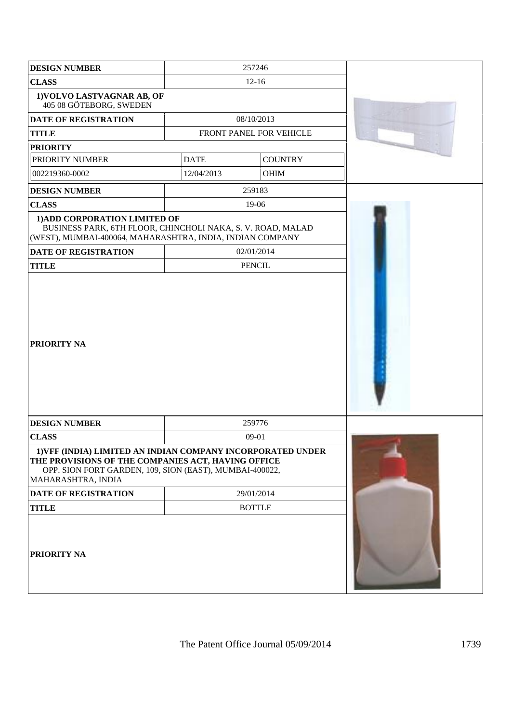| <b>DESIGN NUMBER</b>                                                                                                                                                                               |             | 257246                  |  |
|----------------------------------------------------------------------------------------------------------------------------------------------------------------------------------------------------|-------------|-------------------------|--|
| <b>CLASS</b>                                                                                                                                                                                       |             | $12-16$                 |  |
| 1) VOLVO LASTVAGNAR AB, OF<br>405 08 GÖTEBORG, SWEDEN                                                                                                                                              |             |                         |  |
| <b>DATE OF REGISTRATION</b>                                                                                                                                                                        |             | 08/10/2013              |  |
| <b>TITLE</b>                                                                                                                                                                                       |             | FRONT PANEL FOR VEHICLE |  |
| <b>PRIORITY</b>                                                                                                                                                                                    |             |                         |  |
| PRIORITY NUMBER                                                                                                                                                                                    | <b>DATE</b> | <b>COUNTRY</b>          |  |
| 002219360-0002                                                                                                                                                                                     | 12/04/2013  | <b>OHIM</b>             |  |
| <b>DESIGN NUMBER</b>                                                                                                                                                                               |             | 259183                  |  |
| <b>CLASS</b>                                                                                                                                                                                       |             | 19-06                   |  |
| 1) ADD CORPORATION LIMITED OF<br>BUSINESS PARK, 6TH FLOOR, CHINCHOLI NAKA, S. V. ROAD, MALAD<br>(WEST), MUMBAI-400064, MAHARASHTRA, INDIA, INDIAN COMPANY<br><b>DATE OF REGISTRATION</b>           |             | 02/01/2014              |  |
| <b>TITLE</b>                                                                                                                                                                                       |             | <b>PENCIL</b>           |  |
| <b>PRIORITY NA</b>                                                                                                                                                                                 |             |                         |  |
| <b>DESIGN NUMBER</b>                                                                                                                                                                               |             | 259776                  |  |
| <b>CLASS</b>                                                                                                                                                                                       |             | 09-01                   |  |
| 1) VFF (INDIA) LIMITED AN INDIAN COMPANY INCORPORATED UNDER<br>THE PROVISIONS OF THE COMPANIES ACT, HAVING OFFICE<br>OPP. SION FORT GARDEN, 109, SION (EAST), MUMBAI-400022,<br>MAHARASHTRA, INDIA |             |                         |  |
| DATE OF REGISTRATION                                                                                                                                                                               |             | 29/01/2014              |  |
| <b>TITLE</b>                                                                                                                                                                                       |             | <b>BOTTLE</b>           |  |
| <b>PRIORITY NA</b>                                                                                                                                                                                 |             |                         |  |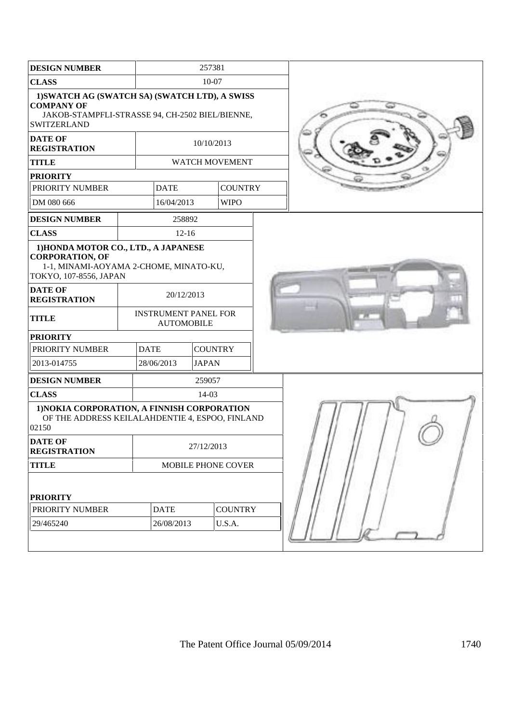| <b>DESIGN NUMBER</b>                                                                                                                                 |  |                                                  | 257381         |                |  |  |
|------------------------------------------------------------------------------------------------------------------------------------------------------|--|--------------------------------------------------|----------------|----------------|--|--|
| <b>CLASS</b>                                                                                                                                         |  | 10-07                                            |                |                |  |  |
| 1) SWATCH AG (SWATCH SA) (SWATCH LTD), A SWISS<br><b>COMPANY OF</b><br>JAKOB-STAMPFLI-STRASSE 94, CH-2502 BIEL/BIENNE,<br>SWITZERLAND                |  |                                                  |                |                |  |  |
| <b>DATE OF</b><br><b>REGISTRATION</b>                                                                                                                |  |                                                  | 10/10/2013     |                |  |  |
| <b>TITLE</b>                                                                                                                                         |  |                                                  |                | WATCH MOVEMENT |  |  |
| <b>PRIORITY</b>                                                                                                                                      |  |                                                  |                |                |  |  |
| PRIORITY NUMBER                                                                                                                                      |  | <b>DATE</b>                                      |                | <b>COUNTRY</b> |  |  |
| DM 080 666                                                                                                                                           |  | 16/04/2013                                       |                | <b>WIPO</b>    |  |  |
| <b>DESIGN NUMBER</b>                                                                                                                                 |  | 258892                                           |                |                |  |  |
| <b>CLASS</b>                                                                                                                                         |  | $12 - 16$                                        |                |                |  |  |
| 1) HONDA MOTOR CO., LTD., A JAPANESE<br><b>CORPORATION, OF</b><br>1-1, MINAMI-AOYAMA 2-CHOME, MINATO-KU,<br>TOKYO, 107-8556, JAPAN<br><b>DATE OF</b> |  |                                                  |                |                |  |  |
| <b>REGISTRATION</b>                                                                                                                                  |  | 20/12/2013                                       |                |                |  |  |
| <b>TITLE</b>                                                                                                                                         |  | <b>INSTRUMENT PANEL FOR</b><br><b>AUTOMOBILE</b> |                |                |  |  |
| <b>PRIORITY</b>                                                                                                                                      |  |                                                  |                |                |  |  |
| PRIORITY NUMBER                                                                                                                                      |  | <b>DATE</b>                                      | <b>COUNTRY</b> |                |  |  |
| 2013-014755                                                                                                                                          |  | 28/06/2013                                       | <b>JAPAN</b>   |                |  |  |
| <b>DESIGN NUMBER</b>                                                                                                                                 |  |                                                  | 259057         |                |  |  |
| <b>CLASS</b>                                                                                                                                         |  |                                                  | 14-03          |                |  |  |
| 1) NOKIA CORPORATION, A FINNISH CORPORATION<br>OF THE ADDRESS KEILALAHDENTIE 4, ESPOO, FINLAND<br>02150                                              |  |                                                  |                |                |  |  |
| <b>DATE OF</b><br><b>REGISTRATION</b>                                                                                                                |  | 27/12/2013                                       |                |                |  |  |
| <b>TITLE</b>                                                                                                                                         |  | MOBILE PHONE COVER                               |                |                |  |  |
| <b>PRIORITY</b>                                                                                                                                      |  |                                                  |                |                |  |  |
| PRIORITY NUMBER                                                                                                                                      |  | <b>DATE</b>                                      |                | <b>COUNTRY</b> |  |  |
| 29/465240                                                                                                                                            |  | 26/08/2013                                       |                | U.S.A.         |  |  |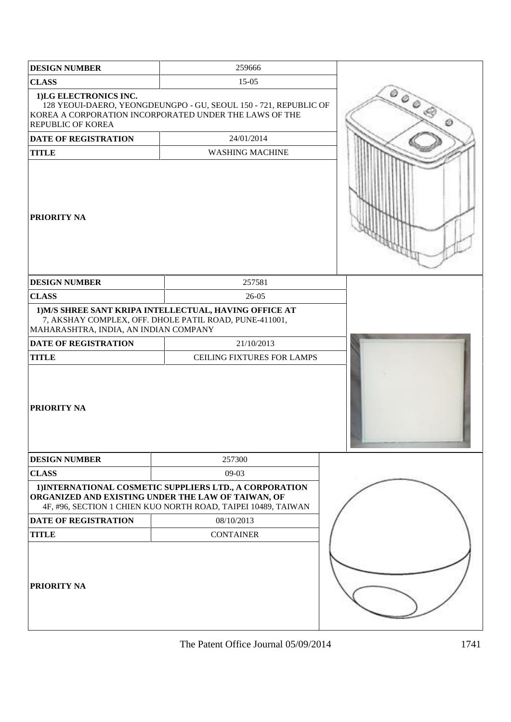| <b>DESIGN NUMBER</b>                       | 259666                                                                                                                                                                         |  |
|--------------------------------------------|--------------------------------------------------------------------------------------------------------------------------------------------------------------------------------|--|
| <b>CLASS</b>                               | $15 - 05$                                                                                                                                                                      |  |
| 1)LG ELECTRONICS INC.<br>REPUBLIC OF KOREA | 128 YEOUI-DAERO, YEONGDEUNGPO - GU, SEOUL 150 - 721, REPUBLIC OF<br>KOREA A CORPORATION INCORPORATED UNDER THE LAWS OF THE                                                     |  |
| DATE OF REGISTRATION                       | 24/01/2014                                                                                                                                                                     |  |
| <b>TITLE</b>                               | <b>WASHING MACHINE</b>                                                                                                                                                         |  |
| PRIORITY NA                                |                                                                                                                                                                                |  |
| <b>DESIGN NUMBER</b>                       | 257581                                                                                                                                                                         |  |
| <b>CLASS</b>                               | 26-05                                                                                                                                                                          |  |
| MAHARASHTRA, INDIA, AN INDIAN COMPANY      | 1) M/S SHREE SANT KRIPA INTELLECTUAL, HAVING OFFICE AT<br>7, AKSHAY COMPLEX, OFF. DHOLE PATIL ROAD, PUNE-411001,                                                               |  |
| DATE OF REGISTRATION                       | 21/10/2013                                                                                                                                                                     |  |
| <b>TITLE</b><br>PRIORITY NA                | CEILING FIXTURES FOR LAMPS                                                                                                                                                     |  |
| <b>DESIGN NUMBER</b>                       | 257300                                                                                                                                                                         |  |
| <b>CLASS</b>                               | 09-03                                                                                                                                                                          |  |
|                                            | 1) INTERNATIONAL COSMETIC SUPPLIERS LTD., A CORPORATION<br>ORGANIZED AND EXISTING UNDER THE LAW OF TAIWAN, OF<br>4F, #96, SECTION 1 CHIEN KUO NORTH ROAD, TAIPEI 10489, TAIWAN |  |
| <b>DATE OF REGISTRATION</b>                | 08/10/2013                                                                                                                                                                     |  |
| <b>TITLE</b>                               | <b>CONTAINER</b>                                                                                                                                                               |  |
| <b>PRIORITY NA</b>                         |                                                                                                                                                                                |  |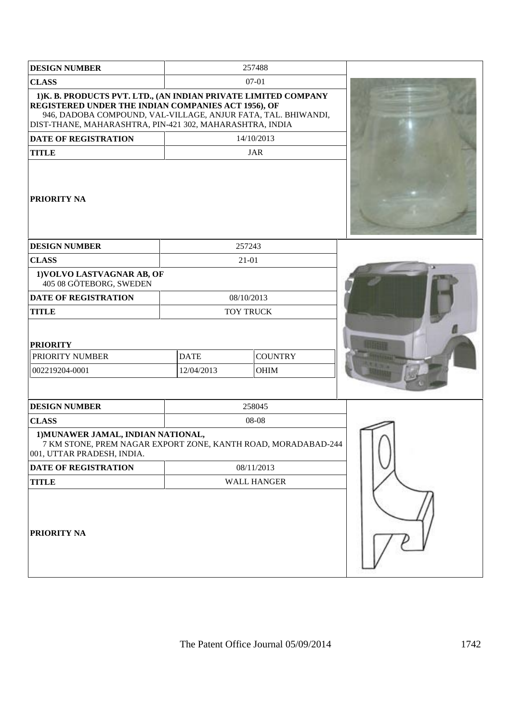| <b>DESIGN NUMBER</b>                                                                                                                                                                                                                                |             | 257488         |  |
|-----------------------------------------------------------------------------------------------------------------------------------------------------------------------------------------------------------------------------------------------------|-------------|----------------|--|
| <b>CLASS</b>                                                                                                                                                                                                                                        |             | $07 - 01$      |  |
| 1) K. B. PRODUCTS PVT. LTD., (AN INDIAN PRIVATE LIMITED COMPANY<br>REGISTERED UNDER THE INDIAN COMPANIES ACT 1956), OF<br>946, DADOBA COMPOUND, VAL-VILLAGE, ANJUR FATA, TAL. BHIWANDI,<br>DIST-THANE, MAHARASHTRA, PIN-421 302, MAHARASHTRA, INDIA |             |                |  |
| <b>DATE OF REGISTRATION</b>                                                                                                                                                                                                                         |             | 14/10/2013     |  |
| <b>TITLE</b>                                                                                                                                                                                                                                        |             | <b>JAR</b>     |  |
| <b>PRIORITY NA</b>                                                                                                                                                                                                                                  |             |                |  |
| <b>DESIGN NUMBER</b>                                                                                                                                                                                                                                |             | 257243         |  |
| <b>CLASS</b>                                                                                                                                                                                                                                        |             | $21 - 01$      |  |
| 1) VOLVO LASTVAGNAR AB, OF<br>405 08 GÖTEBORG, SWEDEN                                                                                                                                                                                               |             |                |  |
| <b>DATE OF REGISTRATION</b>                                                                                                                                                                                                                         |             | 08/10/2013     |  |
| <b>TITLE</b>                                                                                                                                                                                                                                        |             | TOY TRUCK      |  |
| <b>PRIORITY</b>                                                                                                                                                                                                                                     |             |                |  |
| PRIORITY NUMBER                                                                                                                                                                                                                                     | <b>DATE</b> | <b>COUNTRY</b> |  |
| 002219204-0001                                                                                                                                                                                                                                      | 12/04/2013  | OHIM           |  |
|                                                                                                                                                                                                                                                     |             |                |  |
| <b>DESIGN NUMBER</b>                                                                                                                                                                                                                                |             | 258045         |  |
| <b>CLASS</b>                                                                                                                                                                                                                                        |             | 08-08          |  |
| 1) MUNAWER JAMAL, INDIAN NATIONAL,<br>7 KM STONE, PREM NAGAR EXPORT ZONE, KANTH ROAD, MORADABAD-244<br>001, UTTAR PRADESH, INDIA.                                                                                                                   |             |                |  |
| DATE OF REGISTRATION                                                                                                                                                                                                                                |             | 08/11/2013     |  |
| <b>TITLE</b>                                                                                                                                                                                                                                        |             | WALL HANGER    |  |
| PRIORITY NA                                                                                                                                                                                                                                         |             |                |  |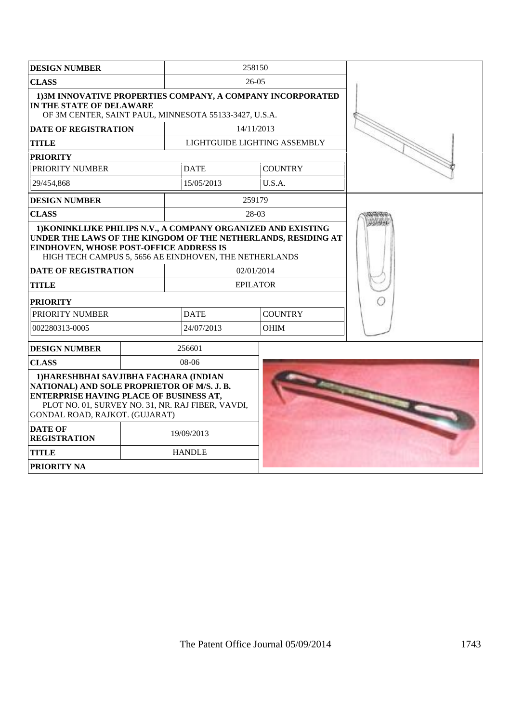| <b>DESIGN NUMBER</b>                                                                                                                                                                                                                |  |               |  | 258150                        |  |
|-------------------------------------------------------------------------------------------------------------------------------------------------------------------------------------------------------------------------------------|--|---------------|--|-------------------------------|--|
| <b>CLASS</b>                                                                                                                                                                                                                        |  |               |  | $26-05$                       |  |
| 1)3M INNOVATIVE PROPERTIES COMPANY, A COMPANY INCORPORATED<br>IN THE STATE OF DELAWARE<br>OF 3M CENTER, SAINT PAUL, MINNESOTA 55133-3427, U.S.A.                                                                                    |  |               |  |                               |  |
| <b>DATE OF REGISTRATION</b>                                                                                                                                                                                                         |  |               |  | 14/11/2013                    |  |
| <b>TITLE</b>                                                                                                                                                                                                                        |  |               |  | LIGHTGUIDE LIGHTING ASSEMBLY  |  |
| <b>PRIORITY</b>                                                                                                                                                                                                                     |  |               |  |                               |  |
| PRIORITY NUMBER                                                                                                                                                                                                                     |  | <b>DATE</b>   |  | <b>COUNTRY</b>                |  |
| 29/454,868                                                                                                                                                                                                                          |  | 15/05/2013    |  | U.S.A.                        |  |
| <b>DESIGN NUMBER</b>                                                                                                                                                                                                                |  |               |  | 259179                        |  |
| <b>CLASS</b>                                                                                                                                                                                                                        |  |               |  | 28-03                         |  |
| 1) KONINKLIJKE PHILIPS N.V., A COMPANY ORGANIZED AND EXISTING<br>UNDER THE LAWS OF THE KINGDOM OF THE NETHERLANDS, RESIDING AT<br>EINDHOVEN, WHOSE POST-OFFICE ADDRESS IS<br>HIGH TECH CAMPUS 5, 5656 AE EINDHOVEN, THE NETHERLANDS |  |               |  |                               |  |
| <b>DATE OF REGISTRATION</b><br><b>TITLE</b>                                                                                                                                                                                         |  |               |  | 02/01/2014<br><b>EPILATOR</b> |  |
|                                                                                                                                                                                                                                     |  |               |  |                               |  |
| <b>PRIORITY</b><br>PRIORITY NUMBER                                                                                                                                                                                                  |  | <b>DATE</b>   |  | <b>COUNTRY</b>                |  |
| 002280313-0005                                                                                                                                                                                                                      |  | 24/07/2013    |  | <b>OHIM</b>                   |  |
| <b>DESIGN NUMBER</b>                                                                                                                                                                                                                |  | 256601        |  |                               |  |
| <b>CLASS</b>                                                                                                                                                                                                                        |  | 08-06         |  |                               |  |
| 1) HARESHBHAI SAVJIBHA FACHARA (INDIAN<br>NATIONAL) AND SOLE PROPRIETOR OF M/S. J. B.<br><b>ENTERPRISE HAVING PLACE OF BUSINESS AT,</b><br>PLOT NO. 01, SURVEY NO. 31, NR. RAJ FIBER, VAVDI,<br>GONDAL ROAD, RAJKOT. (GUJARAT)      |  |               |  |                               |  |
| <b>DATE OF</b><br><b>REGISTRATION</b>                                                                                                                                                                                               |  | 19/09/2013    |  |                               |  |
| <b>TITLE</b>                                                                                                                                                                                                                        |  | <b>HANDLE</b> |  |                               |  |
| <b>PRIORITY NA</b>                                                                                                                                                                                                                  |  |               |  |                               |  |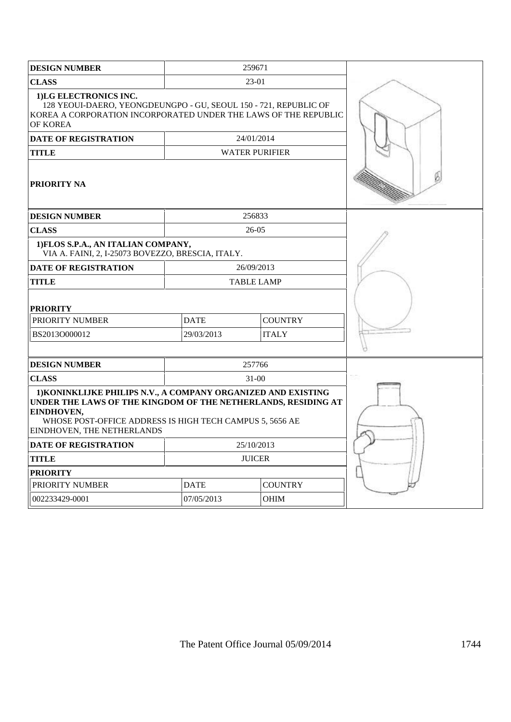| <b>DESIGN NUMBER</b>                                                                                                                                                                                                                   |             | 259671                |  |
|----------------------------------------------------------------------------------------------------------------------------------------------------------------------------------------------------------------------------------------|-------------|-----------------------|--|
| <b>CLASS</b>                                                                                                                                                                                                                           |             | 23-01                 |  |
| 1)LG ELECTRONICS INC.<br>128 YEOUI-DAERO, YEONGDEUNGPO - GU, SEOUL 150 - 721, REPUBLIC OF<br>KOREA A CORPORATION INCORPORATED UNDER THE LAWS OF THE REPUBLIC<br><b>OF KOREA</b>                                                        |             |                       |  |
| DATE OF REGISTRATION                                                                                                                                                                                                                   |             | 24/01/2014            |  |
| TITLE                                                                                                                                                                                                                                  |             | <b>WATER PURIFIER</b> |  |
| <b>PRIORITY NA</b>                                                                                                                                                                                                                     |             |                       |  |
| <b>DESIGN NUMBER</b>                                                                                                                                                                                                                   |             | 256833                |  |
| <b>CLASS</b>                                                                                                                                                                                                                           |             | 26-05                 |  |
| 1) FLOS S.P.A., AN ITALIAN COMPANY,<br>VIA A. FAINI, 2, I-25073 BOVEZZO, BRESCIA, ITALY.                                                                                                                                               |             |                       |  |
| <b>DATE OF REGISTRATION</b>                                                                                                                                                                                                            |             | 26/09/2013            |  |
| TITLE                                                                                                                                                                                                                                  |             | <b>TABLE LAMP</b>     |  |
| <b>PRIORITY</b>                                                                                                                                                                                                                        |             |                       |  |
| PRIORITY NUMBER                                                                                                                                                                                                                        | <b>DATE</b> | <b>COUNTRY</b>        |  |
| BS2013O000012                                                                                                                                                                                                                          | 29/03/2013  | <b>ITALY</b>          |  |
|                                                                                                                                                                                                                                        |             |                       |  |
| <b>DESIGN NUMBER</b>                                                                                                                                                                                                                   |             | 257766                |  |
| <b>CLASS</b>                                                                                                                                                                                                                           |             | $31-00$               |  |
| 1) KONINKLIJKE PHILIPS N.V., A COMPANY ORGANIZED AND EXISTING<br>UNDER THE LAWS OF THE KINGDOM OF THE NETHERLANDS, RESIDING AT<br>EINDHOVEN,<br>WHOSE POST-OFFICE ADDRESS IS HIGH TECH CAMPUS 5, 5656 AE<br>EINDHOVEN, THE NETHERLANDS |             |                       |  |
| <b>DATE OF REGISTRATION</b>                                                                                                                                                                                                            |             | 25/10/2013            |  |
| <b>TITLE</b>                                                                                                                                                                                                                           |             | <b>JUICER</b>         |  |
| <b>PRIORITY</b>                                                                                                                                                                                                                        |             |                       |  |
| PRIORITY NUMBER                                                                                                                                                                                                                        | <b>DATE</b> | <b>COUNTRY</b>        |  |
| 002233429-0001                                                                                                                                                                                                                         | 07/05/2013  | <b>OHIM</b>           |  |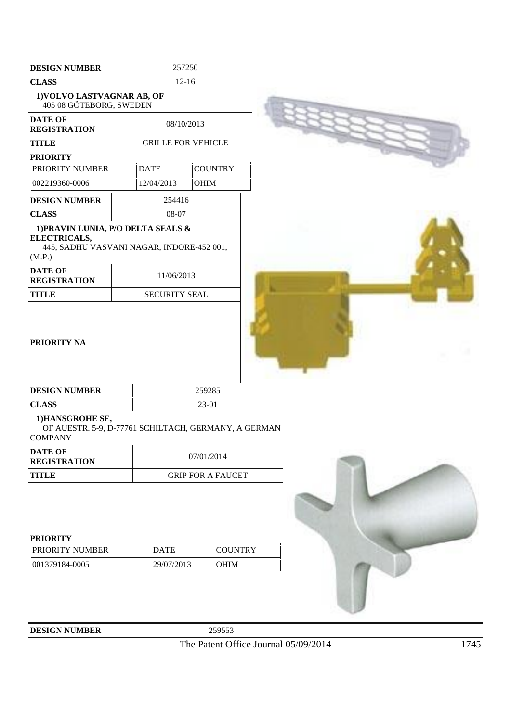| <b>DESIGN NUMBER</b>                                                                                                        | 257250                    |                |                          |  |
|-----------------------------------------------------------------------------------------------------------------------------|---------------------------|----------------|--------------------------|--|
| <b>CLASS</b>                                                                                                                | $12-16$                   |                |                          |  |
| 1) VOLVO LASTVAGNAR AB, OF<br>405 08 GÖTEBORG, SWEDEN                                                                       |                           |                |                          |  |
| <b>DATE OF</b><br><b>REGISTRATION</b>                                                                                       | 08/10/2013                |                |                          |  |
| <b>TITLE</b>                                                                                                                | <b>GRILLE FOR VEHICLE</b> |                |                          |  |
| <b>PRIORITY</b>                                                                                                             |                           |                |                          |  |
| PRIORITY NUMBER                                                                                                             | <b>DATE</b>               | <b>COUNTRY</b> |                          |  |
| 002219360-0006                                                                                                              | 12/04/2013                | OHIM           |                          |  |
| <b>DESIGN NUMBER</b>                                                                                                        | 254416                    |                |                          |  |
| <b>CLASS</b>                                                                                                                | 08-07                     |                |                          |  |
| 1) PRAVIN LUNIA, P/O DELTA SEALS &<br>ELECTRICALS,<br>445, SADHU VASVANI NAGAR, INDORE-452 001,<br>(M.P.)<br><b>DATE OF</b> |                           |                |                          |  |
| <b>REGISTRATION</b>                                                                                                         | 11/06/2013                |                |                          |  |
| <b>TITLE</b>                                                                                                                | <b>SECURITY SEAL</b>      |                |                          |  |
| <b>PRIORITY NA</b>                                                                                                          |                           |                |                          |  |
| <b>DESIGN NUMBER</b>                                                                                                        |                           | 259285         |                          |  |
| <b>CLASS</b><br>1) HANSGROHE SE,<br>OF AUESTR. 5-9, D-77761 SCHILTACH, GERMANY, A GERMAN<br><b>COMPANY</b>                  |                           | 23-01          |                          |  |
| <b>DATE OF</b><br><b>REGISTRATION</b>                                                                                       |                           | 07/01/2014     |                          |  |
| <b>TITLE</b>                                                                                                                |                           |                | <b>GRIP FOR A FAUCET</b> |  |
| <b>PRIORITY</b><br>PRIORITY NUMBER<br>001379184-0005                                                                        | <b>DATE</b><br>29/07/2013 |                | <b>COUNTRY</b><br>OHIM   |  |
| <b>DESIGN NUMBER</b>                                                                                                        |                           |                | 259553                   |  |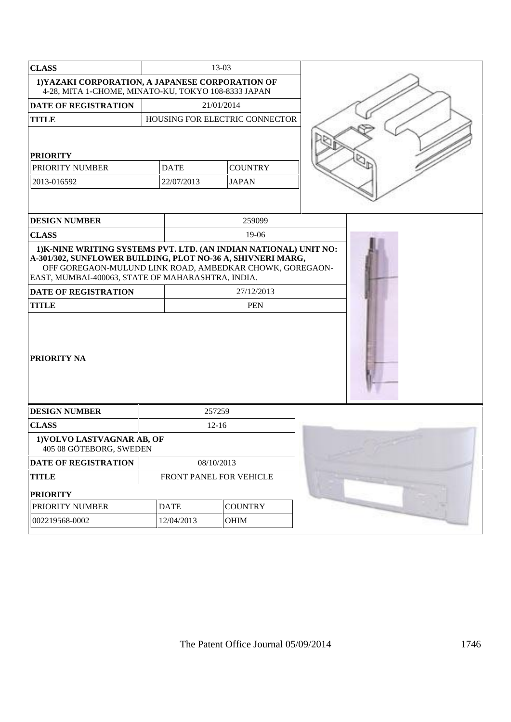| <b>CLASS</b>                                                                                                                                                                                                                                      |                         | 13-03                          |  |
|---------------------------------------------------------------------------------------------------------------------------------------------------------------------------------------------------------------------------------------------------|-------------------------|--------------------------------|--|
| 1) YAZAKI CORPORATION, A JAPANESE CORPORATION OF<br>4-28, MITA 1-CHOME, MINATO-KU, TOKYO 108-8333 JAPAN                                                                                                                                           |                         |                                |  |
| <b>DATE OF REGISTRATION</b>                                                                                                                                                                                                                       |                         | 21/01/2014                     |  |
| <b>TITLE</b>                                                                                                                                                                                                                                      |                         | HOUSING FOR ELECTRIC CONNECTOR |  |
| <b>PRIORITY</b>                                                                                                                                                                                                                                   |                         |                                |  |
| PRIORITY NUMBER                                                                                                                                                                                                                                   | <b>DATE</b>             | <b>COUNTRY</b>                 |  |
| 2013-016592                                                                                                                                                                                                                                       | 22/07/2013              | <b>JAPAN</b>                   |  |
| <b>DESIGN NUMBER</b>                                                                                                                                                                                                                              |                         | 259099                         |  |
| <b>CLASS</b>                                                                                                                                                                                                                                      |                         | 19-06                          |  |
| A-301/302, SUNFLOWER BUILDING, PLOT NO-36 A, SHIVNERI MARG,<br>OFF GOREGAON-MULUND LINK ROAD, AMBEDKAR CHOWK, GOREGAON-<br>EAST, MUMBAI-400063, STATE OF MAHARASHTRA, INDIA.<br><b>DATE OF REGISTRATION</b><br><b>TITLE</b><br><b>PRIORITY NA</b> |                         |                                |  |
| <b>DESIGN NUMBER</b>                                                                                                                                                                                                                              |                         | 257259                         |  |
| <b>CLASS</b>                                                                                                                                                                                                                                      |                         | $12-16$                        |  |
| 1) VOLVO LASTVAGNAR AB, OF<br>405 08 GÖTEBORG, SWEDEN                                                                                                                                                                                             |                         |                                |  |
| DATE OF REGISTRATION                                                                                                                                                                                                                              |                         | 08/10/2013                     |  |
| <b>TITLE</b>                                                                                                                                                                                                                                      | FRONT PANEL FOR VEHICLE |                                |  |
| <b>PRIORITY</b>                                                                                                                                                                                                                                   |                         |                                |  |
| PRIORITY NUMBER                                                                                                                                                                                                                                   | <b>DATE</b>             | <b>COUNTRY</b>                 |  |
| 002219568-0002                                                                                                                                                                                                                                    | 12/04/2013              | OHIM                           |  |
|                                                                                                                                                                                                                                                   |                         |                                |  |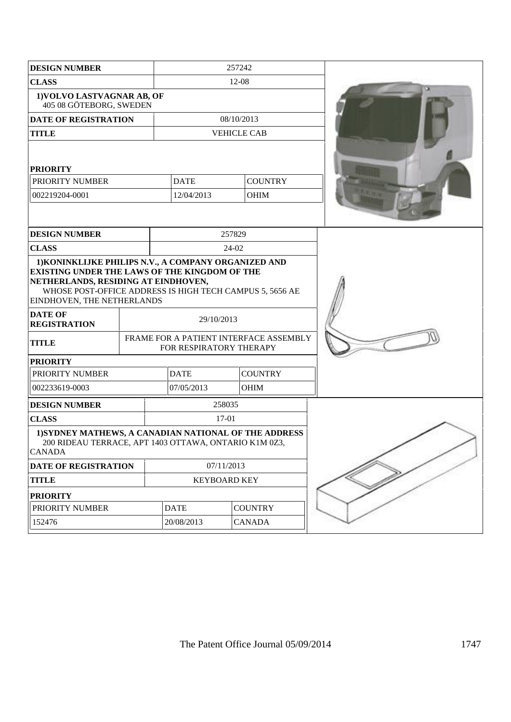| <b>DESIGN NUMBER</b>                                                                                                                                                           |            | 257242  |                               |        |                                        |  |
|--------------------------------------------------------------------------------------------------------------------------------------------------------------------------------|------------|---------|-------------------------------|--------|----------------------------------------|--|
| <b>CLASS</b>                                                                                                                                                                   |            | $12-08$ |                               |        |                                        |  |
| 1) VOLVO LASTVAGNAR AB, OF<br>405 08 GÖTEBORG, SWEDEN                                                                                                                          |            |         |                               |        |                                        |  |
| <b>DATE OF REGISTRATION</b>                                                                                                                                                    |            |         |                               |        | 08/10/2013                             |  |
| <b>TITLE</b>                                                                                                                                                                   |            |         |                               |        | <b>VEHICLE CAB</b>                     |  |
| <b>PRIORITY</b>                                                                                                                                                                |            |         |                               |        |                                        |  |
| PRIORITY NUMBER                                                                                                                                                                |            |         | <b>DATE</b>                   |        | <b>COUNTRY</b>                         |  |
| 002219204-0001                                                                                                                                                                 |            |         | 12/04/2013                    |        | OHIM                                   |  |
|                                                                                                                                                                                |            |         |                               |        |                                        |  |
| <b>DESIGN NUMBER</b>                                                                                                                                                           |            |         |                               | 257829 |                                        |  |
| <b>CLASS</b>                                                                                                                                                                   |            |         |                               | 24-02  |                                        |  |
| EXISTING UNDER THE LAWS OF THE KINGDOM OF THE<br>NETHERLANDS, RESIDING AT EINDHOVEN,<br>WHOSE POST-OFFICE ADDRESS IS HIGH TECH CAMPUS 5, 5656 AE<br>EINDHOVEN, THE NETHERLANDS |            |         |                               |        |                                        |  |
| <b>DATE OF</b><br><b>REGISTRATION</b>                                                                                                                                          |            |         | 29/10/2013                    |        |                                        |  |
| <b>TITLE</b>                                                                                                                                                                   |            |         | FOR RESPIRATORY THERAPY       |        | FRAME FOR A PATIENT INTERFACE ASSEMBLY |  |
| <b>PRIORITY</b>                                                                                                                                                                |            |         |                               |        |                                        |  |
| PRIORITY NUMBER                                                                                                                                                                |            |         | <b>DATE</b>                   |        | <b>COUNTRY</b>                         |  |
| 002233619-0003                                                                                                                                                                 |            |         | 07/05/2013                    |        | OHIM                                   |  |
| <b>DESIGN NUMBER</b>                                                                                                                                                           |            |         |                               | 258035 |                                        |  |
| <b>CLASS</b>                                                                                                                                                                   |            |         |                               | 17-01  |                                        |  |
| 1) SYDNEY MATHEWS, A CANADIAN NATIONAL OF THE ADDRESS<br>200 RIDEAU TERRACE, APT 1403 OTTAWA, ONTARIO K1M 0Z3,<br><b>CANADA</b>                                                |            |         |                               |        |                                        |  |
| DATE OF REGISTRATION                                                                                                                                                           | 07/11/2013 |         |                               |        |                                        |  |
| <b>TITLE</b>                                                                                                                                                                   |            |         | <b>KEYBOARD KEY</b>           |        |                                        |  |
| <b>PRIORITY</b>                                                                                                                                                                |            |         |                               |        |                                        |  |
| PRIORITY NUMBER                                                                                                                                                                |            |         | <b>DATE</b><br><b>COUNTRY</b> |        |                                        |  |
| 152476                                                                                                                                                                         |            |         | 20/08/2013                    |        | <b>CANADA</b>                          |  |
|                                                                                                                                                                                |            |         |                               |        |                                        |  |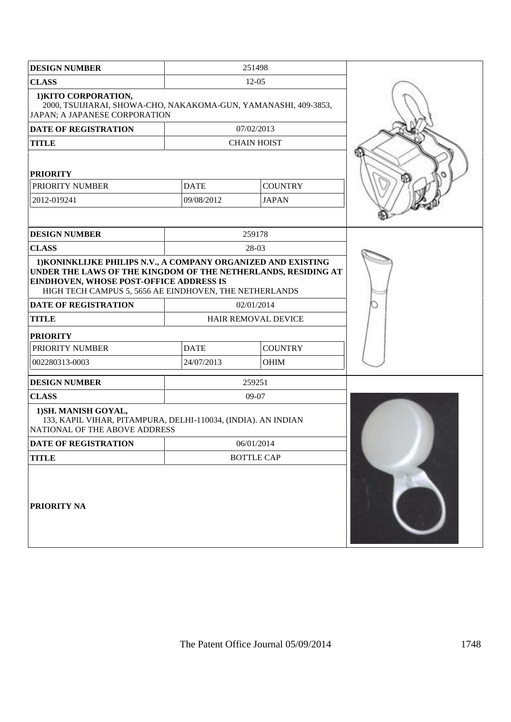| <b>DESIGN NUMBER</b>                                                                                                                                                                                                                |             | 251498                     |  |
|-------------------------------------------------------------------------------------------------------------------------------------------------------------------------------------------------------------------------------------|-------------|----------------------------|--|
| <b>CLASS</b>                                                                                                                                                                                                                        |             | $12 - 05$                  |  |
| 1) KITO CORPORATION,<br>2000, TSUIJIARAI, SHOWA-CHO, NAKAKOMA-GUN, YAMANASHI, 409-3853,<br>JAPAN; A JAPANESE CORPORATION                                                                                                            |             |                            |  |
| <b>DATE OF REGISTRATION</b>                                                                                                                                                                                                         |             | 07/02/2013                 |  |
| <b>TITLE</b>                                                                                                                                                                                                                        |             | <b>CHAIN HOIST</b>         |  |
| <b>PRIORITY</b>                                                                                                                                                                                                                     |             |                            |  |
| PRIORITY NUMBER                                                                                                                                                                                                                     | <b>DATE</b> | <b>COUNTRY</b>             |  |
| 2012-019241                                                                                                                                                                                                                         | 09/08/2012  | <b>JAPAN</b>               |  |
|                                                                                                                                                                                                                                     |             |                            |  |
| <b>DESIGN NUMBER</b>                                                                                                                                                                                                                |             | 259178                     |  |
| <b>CLASS</b>                                                                                                                                                                                                                        |             | 28-03                      |  |
| 1) KONINKLIJKE PHILIPS N.V., A COMPANY ORGANIZED AND EXISTING<br>UNDER THE LAWS OF THE KINGDOM OF THE NETHERLANDS, RESIDING AT<br>EINDHOVEN, WHOSE POST-OFFICE ADDRESS IS<br>HIGH TECH CAMPUS 5, 5656 AE EINDHOVEN, THE NETHERLANDS |             |                            |  |
| <b>DATE OF REGISTRATION</b>                                                                                                                                                                                                         |             | 02/01/2014                 |  |
| <b>TITLE</b>                                                                                                                                                                                                                        |             | <b>HAIR REMOVAL DEVICE</b> |  |
| <b>PRIORITY</b>                                                                                                                                                                                                                     |             |                            |  |
| PRIORITY NUMBER                                                                                                                                                                                                                     | <b>DATE</b> | <b>COUNTRY</b>             |  |
| 002280313-0003                                                                                                                                                                                                                      | 24/07/2013  | <b>OHIM</b>                |  |
| <b>DESIGN NUMBER</b>                                                                                                                                                                                                                |             | 259251                     |  |
| <b>CLASS</b>                                                                                                                                                                                                                        |             | 09-07                      |  |
| 1) SH. MANISH GOYAL,<br>133, KAPIL VIHAR, PITAMPURA, DELHI-110034, (INDIA). AN INDIAN<br>NATIONAL OF THE ABOVE ADDRESS                                                                                                              |             |                            |  |
| <b>DATE OF REGISTRATION</b>                                                                                                                                                                                                         |             | 06/01/2014                 |  |
| <b>TITLE</b>                                                                                                                                                                                                                        |             | <b>BOTTLE CAP</b>          |  |
| <b>PRIORITY NA</b>                                                                                                                                                                                                                  |             |                            |  |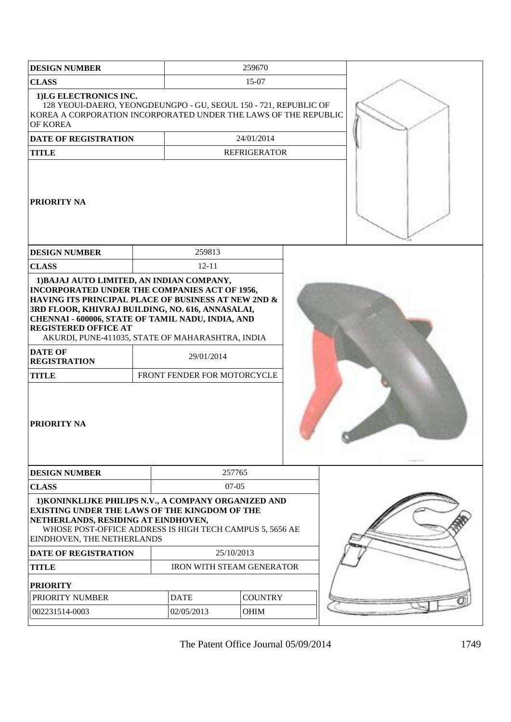| <b>DESIGN NUMBER</b>                                                                                                                                                                                                                                                                                                                                                                   |             | 259670                                    |                |  |
|----------------------------------------------------------------------------------------------------------------------------------------------------------------------------------------------------------------------------------------------------------------------------------------------------------------------------------------------------------------------------------------|-------------|-------------------------------------------|----------------|--|
| <b>CLASS</b>                                                                                                                                                                                                                                                                                                                                                                           |             | 15-07                                     |                |  |
| 1)LG ELECTRONICS INC.<br>128 YEOUI-DAERO, YEONGDEUNGPO - GU, SEOUL 150 - 721, REPUBLIC OF<br>KOREA A CORPORATION INCORPORATED UNDER THE LAWS OF THE REPUBLIC<br>OF KOREA                                                                                                                                                                                                               |             |                                           |                |  |
| DATE OF REGISTRATION                                                                                                                                                                                                                                                                                                                                                                   |             | 24/01/2014                                |                |  |
| <b>TITLE</b>                                                                                                                                                                                                                                                                                                                                                                           |             | <b>REFRIGERATOR</b>                       |                |  |
| <b> PRIORITY NA</b>                                                                                                                                                                                                                                                                                                                                                                    |             |                                           |                |  |
| <b>DESIGN NUMBER</b>                                                                                                                                                                                                                                                                                                                                                                   |             | 259813                                    |                |  |
| <b>CLASS</b>                                                                                                                                                                                                                                                                                                                                                                           |             | $12 - 11$                                 |                |  |
| <b>INCORPORATED UNDER THE COMPANIES ACT OF 1956,</b><br>HAVING ITS PRINCIPAL PLACE OF BUSINESS AT NEW 2ND &<br>3RD FLOOR, KHIVRAJ BUILDING, NO. 616, ANNASALAI,<br>CHENNAI - 600006, STATE OF TAMIL NADU, INDIA, AND<br><b>REGISTERED OFFICE AT</b><br>AKURDI, PUNE-411035, STATE OF MAHARASHTRA, INDIA<br><b>DATE OF</b><br><b>REGISTRATION</b><br><b>TITLE</b><br><b>PRIORITY NA</b> |             | 29/01/2014<br>FRONT FENDER FOR MOTORCYCLE |                |  |
| <b>DESIGN NUMBER</b>                                                                                                                                                                                                                                                                                                                                                                   |             | 257765                                    |                |  |
| <b>CLASS</b>                                                                                                                                                                                                                                                                                                                                                                           |             | $07-05$                                   |                |  |
| 1) KONINKLIJKE PHILIPS N.V., A COMPANY ORGANIZED AND<br><b>EXISTING UNDER THE LAWS OF THE KINGDOM OF THE</b><br>NETHERLANDS, RESIDING AT EINDHOVEN,<br>WHOSE POST-OFFICE ADDRESS IS HIGH TECH CAMPUS 5, 5656 AE<br>EINDHOVEN, THE NETHERLANDS                                                                                                                                          |             |                                           |                |  |
| <b>DATE OF REGISTRATION</b>                                                                                                                                                                                                                                                                                                                                                            |             | 25/10/2013                                |                |  |
| <b>TITLE</b>                                                                                                                                                                                                                                                                                                                                                                           |             | <b>IRON WITH STEAM GENERATOR</b>          |                |  |
| <b>PRIORITY</b>                                                                                                                                                                                                                                                                                                                                                                        |             |                                           |                |  |
| PRIORITY NUMBER                                                                                                                                                                                                                                                                                                                                                                        | <b>DATE</b> |                                           | <b>COUNTRY</b> |  |
| 002231514-0003                                                                                                                                                                                                                                                                                                                                                                         | 02/05/2013  | <b>OHIM</b>                               |                |  |
|                                                                                                                                                                                                                                                                                                                                                                                        |             |                                           |                |  |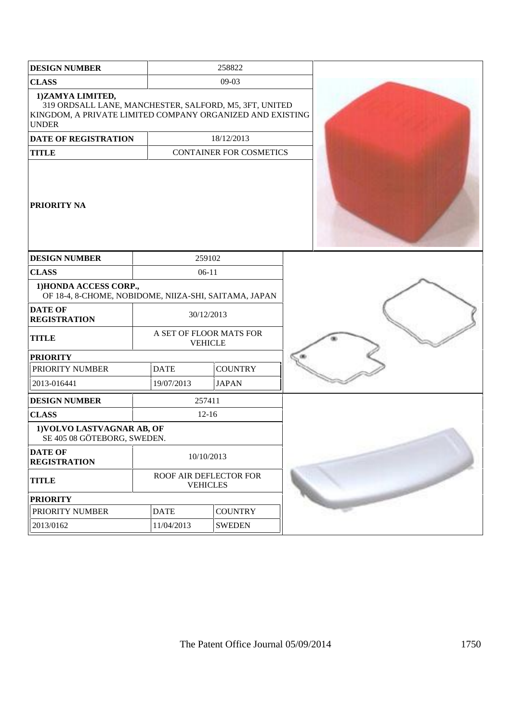| <b>DESIGN NUMBER</b>                                                                                                                                    |             | 258822                                    |  |
|---------------------------------------------------------------------------------------------------------------------------------------------------------|-------------|-------------------------------------------|--|
| <b>CLASS</b>                                                                                                                                            |             | 09-03                                     |  |
| 1)ZAMYA LIMITED,<br>319 ORDSALL LANE, MANCHESTER, SALFORD, M5, 3FT, UNITED<br>KINGDOM, A PRIVATE LIMITED COMPANY ORGANIZED AND EXISTING<br><b>UNDER</b> |             |                                           |  |
| <b>DATE OF REGISTRATION</b>                                                                                                                             |             | 18/12/2013                                |  |
| <b>TITLE</b>                                                                                                                                            |             | <b>CONTAINER FOR COSMETICS</b>            |  |
| <b>PRIORITY NA</b>                                                                                                                                      |             |                                           |  |
| <b>DESIGN NUMBER</b>                                                                                                                                    |             | 259102                                    |  |
| <b>CLASS</b>                                                                                                                                            |             | $06-11$                                   |  |
| 1) HONDA ACCESS CORP.,<br>OF 18-4, 8-CHOME, NOBIDOME, NIIZA-SHI, SAITAMA, JAPAN                                                                         |             |                                           |  |
| <b>DATE OF</b><br><b>REGISTRATION</b>                                                                                                                   |             | 30/12/2013                                |  |
| <b>TITLE</b>                                                                                                                                            |             | A SET OF FLOOR MATS FOR<br><b>VEHICLE</b> |  |
| <b>PRIORITY</b>                                                                                                                                         |             |                                           |  |
| PRIORITY NUMBER                                                                                                                                         | <b>DATE</b> | <b>COUNTRY</b>                            |  |
| 2013-016441                                                                                                                                             | 19/07/2013  | <b>JAPAN</b>                              |  |
| <b>DESIGN NUMBER</b>                                                                                                                                    |             | 257411                                    |  |
| <b>CLASS</b>                                                                                                                                            |             | $12 - 16$                                 |  |
| 1) VOLVO LASTVAGNAR AB, OF<br>SE 405 08 GÖTEBORG, SWEDEN.                                                                                               |             |                                           |  |
| <b>DATE OF</b><br><b>REGISTRATION</b>                                                                                                                   |             | 10/10/2013                                |  |
| <b>TITLE</b>                                                                                                                                            |             | ROOF AIR DEFLECTOR FOR<br><b>VEHICLES</b> |  |
| <b>PRIORITY</b>                                                                                                                                         |             |                                           |  |
| PRIORITY NUMBER                                                                                                                                         | <b>DATE</b> | <b>COUNTRY</b>                            |  |
| 2013/0162                                                                                                                                               | 11/04/2013  | <b>SWEDEN</b>                             |  |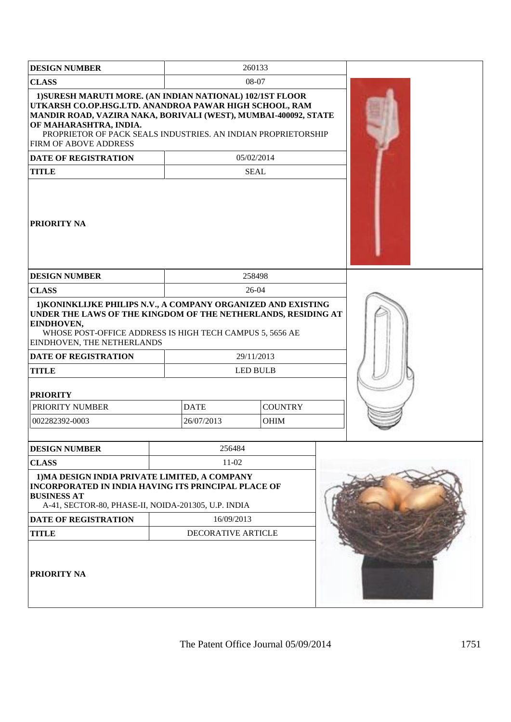| <b>DESIGN NUMBER</b>                                                                                                                                                                                                                                                                                              |                               | 260133      |  |  |
|-------------------------------------------------------------------------------------------------------------------------------------------------------------------------------------------------------------------------------------------------------------------------------------------------------------------|-------------------------------|-------------|--|--|
| <b>CLASS</b>                                                                                                                                                                                                                                                                                                      |                               | 08-07       |  |  |
| 1) SURESH MARUTI MORE. (AN INDIAN NATIONAL) 102/1ST FLOOR<br>UTKARSH CO.OP.HSG.LTD. ANANDROA PAWAR HIGH SCHOOL, RAM<br>MANDIR ROAD, VAZIRA NAKA, BORIVALI (WEST), MUMBAI-400092, STATE<br>OF MAHARASHTRA, INDIA.<br>PROPRIETOR OF PACK SEALS INDUSTRIES. AN INDIAN PROPRIETORSHIP<br><b>FIRM OF ABOVE ADDRESS</b> |                               |             |  |  |
| <b>DATE OF REGISTRATION</b>                                                                                                                                                                                                                                                                                       |                               | 05/02/2014  |  |  |
| <b>TITLE</b>                                                                                                                                                                                                                                                                                                      |                               | <b>SEAL</b> |  |  |
| <b>PRIORITY NA</b>                                                                                                                                                                                                                                                                                                |                               |             |  |  |
| <b>DESIGN NUMBER</b>                                                                                                                                                                                                                                                                                              |                               | 258498      |  |  |
| <b>CLASS</b>                                                                                                                                                                                                                                                                                                      |                               | 26-04       |  |  |
| 1) KONINKLIJKE PHILIPS N.V., A COMPANY ORGANIZED AND EXISTING<br>UNDER THE LAWS OF THE KINGDOM OF THE NETHERLANDS, RESIDING AT<br>EINDHOVEN,<br>WHOSE POST-OFFICE ADDRESS IS HIGH TECH CAMPUS 5, 5656 AE<br><b>EINDHOVEN, THE NETHERLANDS</b>                                                                     |                               |             |  |  |
| <b>DATE OF REGISTRATION</b>                                                                                                                                                                                                                                                                                       |                               | 29/11/2013  |  |  |
| <b>TITLE</b>                                                                                                                                                                                                                                                                                                      |                               | LED BULB    |  |  |
| <b>PRIORITY</b>                                                                                                                                                                                                                                                                                                   |                               |             |  |  |
| PRIORITY NUMBER                                                                                                                                                                                                                                                                                                   | <b>DATE</b><br><b>COUNTRY</b> |             |  |  |
| 002282392-0003                                                                                                                                                                                                                                                                                                    | 26/07/2013<br><b>OHIM</b>     |             |  |  |
|                                                                                                                                                                                                                                                                                                                   |                               |             |  |  |
| <b>DESIGN NUMBER</b>                                                                                                                                                                                                                                                                                              | 256484                        |             |  |  |
| <b>CLASS</b>                                                                                                                                                                                                                                                                                                      | $11-02$                       |             |  |  |
| 1) MA DESIGN INDIA PRIVATE LIMITED, A COMPANY<br><b>INCORPORATED IN INDIA HAVING ITS PRINCIPAL PLACE OF</b><br><b>BUSINESS AT</b><br>A-41, SECTOR-80, PHASE-II, NOIDA-201305, U.P. INDIA                                                                                                                          |                               |             |  |  |
| <b>DATE OF REGISTRATION</b>                                                                                                                                                                                                                                                                                       | 16/09/2013                    |             |  |  |
| <b>TITLE</b>                                                                                                                                                                                                                                                                                                      | DECORATIVE ARTICLE            |             |  |  |
| <b>PRIORITY NA</b>                                                                                                                                                                                                                                                                                                |                               |             |  |  |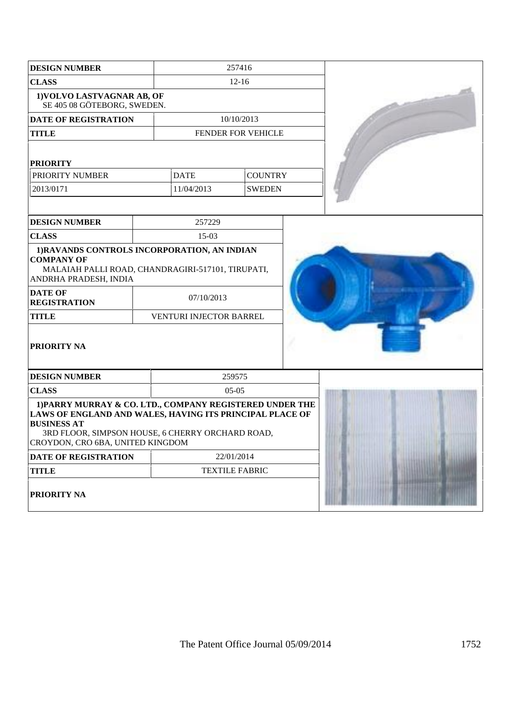| <b>DESIGN NUMBER</b>                                                                                                                                                                                                               | 257416                  |                    |  |  |
|------------------------------------------------------------------------------------------------------------------------------------------------------------------------------------------------------------------------------------|-------------------------|--------------------|--|--|
| <b>CLASS</b>                                                                                                                                                                                                                       |                         | $12 - 16$          |  |  |
| 1) VOLVO LASTVAGNAR AB, OF<br>SE 405 08 GÖTEBORG, SWEDEN.                                                                                                                                                                          |                         |                    |  |  |
| <b>DATE OF REGISTRATION</b>                                                                                                                                                                                                        |                         | 10/10/2013         |  |  |
| <b>TITLE</b>                                                                                                                                                                                                                       |                         | FENDER FOR VEHICLE |  |  |
| <b>PRIORITY</b>                                                                                                                                                                                                                    |                         |                    |  |  |
| PRIORITY NUMBER                                                                                                                                                                                                                    | <b>DATE</b>             | <b>COUNTRY</b>     |  |  |
| 2013/0171                                                                                                                                                                                                                          | 11/04/2013              | <b>SWEDEN</b>      |  |  |
|                                                                                                                                                                                                                                    |                         |                    |  |  |
| <b>DESIGN NUMBER</b>                                                                                                                                                                                                               | 257229                  |                    |  |  |
| <b>CLASS</b>                                                                                                                                                                                                                       | $15-03$                 |                    |  |  |
| 1) RAVANDS CONTROLS INCORPORATION, AN INDIAN<br><b>COMPANY OF</b><br>MALAIAH PALLI ROAD, CHANDRAGIRI-517101, TIRUPATI,<br>ANDRHA PRADESH, INDIA                                                                                    |                         |                    |  |  |
| <b>DATE OF</b><br><b>REGISTRATION</b>                                                                                                                                                                                              | 07/10/2013              |                    |  |  |
| <b>TITLE</b>                                                                                                                                                                                                                       | VENTURI INJECTOR BARREL |                    |  |  |
| <b>PRIORITY NA</b>                                                                                                                                                                                                                 |                         |                    |  |  |
| <b>DESIGN NUMBER</b>                                                                                                                                                                                                               |                         | 259575             |  |  |
| <b>CLASS</b>                                                                                                                                                                                                                       |                         | $05-05$            |  |  |
| 1) PARRY MURRAY & CO. LTD., COMPANY REGISTERED UNDER THE<br>LAWS OF ENGLAND AND WALES, HAVING ITS PRINCIPAL PLACE OF<br><b>BUSINESS AT</b><br>3RD FLOOR, SIMPSON HOUSE, 6 CHERRY ORCHARD ROAD,<br>CROYDON, CRO 6BA, UNITED KINGDOM |                         |                    |  |  |
| <b>DATE OF REGISTRATION</b>                                                                                                                                                                                                        | 22/01/2014              |                    |  |  |
| <b>TITLE</b>                                                                                                                                                                                                                       | <b>TEXTILE FABRIC</b>   |                    |  |  |
| PRIORITY NA                                                                                                                                                                                                                        |                         |                    |  |  |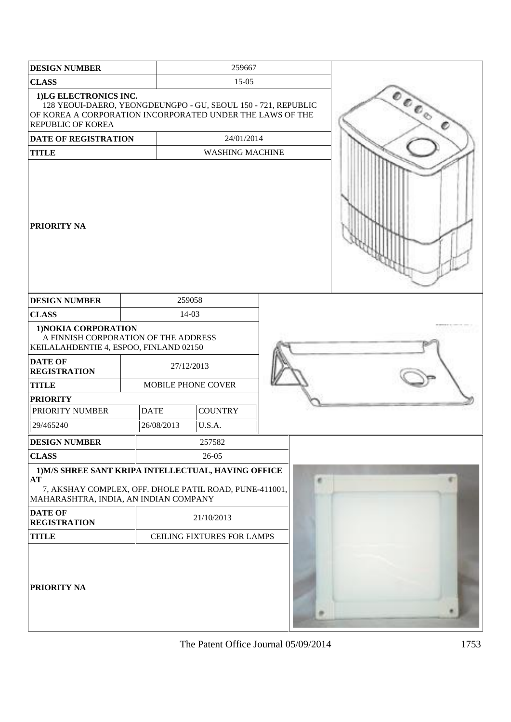| <b>DESIGN NUMBER</b>                                                                                                                                                     |             | 259667     |                            |  |    |                                                                |
|--------------------------------------------------------------------------------------------------------------------------------------------------------------------------|-------------|------------|----------------------------|--|----|----------------------------------------------------------------|
| <b>CLASS</b>                                                                                                                                                             |             | $15-05$    |                            |  |    |                                                                |
| 1)LG ELECTRONICS INC.<br>128 YEOUI-DAERO, YEONGDEUNGPO - GU, SEOUL 150 - 721, REPUBLIC<br>OF KOREA A CORPORATION INCORPORATED UNDER THE LAWS OF THE<br>REPUBLIC OF KOREA |             |            |                            |  |    | $\;{}^{{\mathcal O}}\!{\mathcal O}_{\mathcal O_{\mathcal O}}}$ |
| <b>DATE OF REGISTRATION</b>                                                                                                                                              |             |            | 24/01/2014                 |  |    |                                                                |
| <b>TITLE</b>                                                                                                                                                             |             |            | <b>WASHING MACHINE</b>     |  |    |                                                                |
| PRIORITY NA                                                                                                                                                              |             |            |                            |  |    |                                                                |
| <b>DESIGN NUMBER</b>                                                                                                                                                     |             | 259058     |                            |  |    |                                                                |
| <b>CLASS</b>                                                                                                                                                             |             | 14-03      |                            |  |    |                                                                |
| 1) NOKIA CORPORATION<br>A FINNISH CORPORATION OF THE ADDRESS<br>KEILALAHDENTIE 4, ESPOO, FINLAND 02150<br><b>DATE OF</b><br><b>REGISTRATION</b>                          | 27/12/2013  |            |                            |  |    |                                                                |
| <b>TITLE</b>                                                                                                                                                             |             |            | MOBILE PHONE COVER         |  |    |                                                                |
| <b>PRIORITY</b>                                                                                                                                                          |             |            |                            |  |    |                                                                |
| PRIORITY NUMBER                                                                                                                                                          | <b>DATE</b> |            | <b>COUNTRY</b>             |  |    |                                                                |
| 29/465240                                                                                                                                                                |             | 26/08/2013 | U.S.A.                     |  |    |                                                                |
| <b>DESIGN NUMBER</b>                                                                                                                                                     |             |            | 257582                     |  |    |                                                                |
| <b>CLASS</b>                                                                                                                                                             |             |            | $26 - 05$                  |  |    |                                                                |
| 1) M/S SHREE SANT KRIPA INTELLECTUAL, HAVING OFFICE<br>AT<br>7, AKSHAY COMPLEX, OFF. DHOLE PATIL ROAD, PUNE-411001,<br>MAHARASHTRA, INDIA, AN INDIAN COMPANY             |             |            |                            |  | a) |                                                                |
| <b>DATE OF</b><br><b>REGISTRATION</b>                                                                                                                                    |             |            | 21/10/2013                 |  |    |                                                                |
| <b>TITLE</b>                                                                                                                                                             |             |            | CEILING FIXTURES FOR LAMPS |  |    |                                                                |
| PRIORITY NA                                                                                                                                                              |             |            |                            |  |    |                                                                |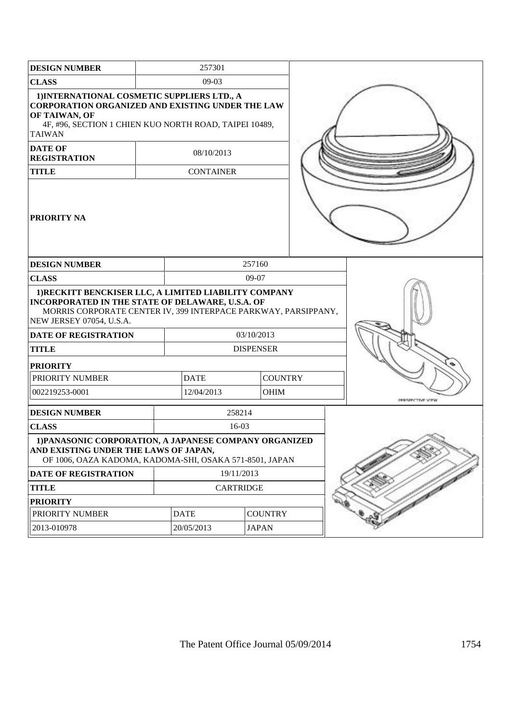| <b>DESIGN NUMBER</b>                                                                                                                                                                                    |  | 257301                        |                  |            |                  |  |                  |
|---------------------------------------------------------------------------------------------------------------------------------------------------------------------------------------------------------|--|-------------------------------|------------------|------------|------------------|--|------------------|
| <b>CLASS</b><br>$09-03$                                                                                                                                                                                 |  |                               |                  |            |                  |  |                  |
| 1) INTERNATIONAL COSMETIC SUPPLIERS LTD., A<br><b>CORPORATION ORGANIZED AND EXISTING UNDER THE LAW</b><br>OF TAIWAN, OF<br>4F, #96, SECTION 1 CHIEN KUO NORTH ROAD, TAIPEI 10489,<br><b>TAIWAN</b>      |  |                               |                  |            |                  |  |                  |
| <b>DATE OF</b><br><b>REGISTRATION</b>                                                                                                                                                                   |  |                               | 08/10/2013       |            |                  |  |                  |
| <b>TITLE</b>                                                                                                                                                                                            |  |                               | <b>CONTAINER</b> |            |                  |  |                  |
| <b>PRIORITY NA</b>                                                                                                                                                                                      |  |                               |                  |            |                  |  |                  |
| <b>DESIGN NUMBER</b>                                                                                                                                                                                    |  |                               |                  | 257160     |                  |  |                  |
| <b>CLASS</b>                                                                                                                                                                                            |  |                               |                  | $09-07$    |                  |  |                  |
| 1) RECKITT BENCKISER LLC, A LIMITED LIABILITY COMPANY<br>INCORPORATED IN THE STATE OF DELAWARE, U.S.A. OF<br>MORRIS CORPORATE CENTER IV, 399 INTERPACE PARKWAY, PARSIPPANY,<br>NEW JERSEY 07054, U.S.A. |  |                               |                  |            |                  |  |                  |
| <b>DATE OF REGISTRATION</b>                                                                                                                                                                             |  |                               |                  | 03/10/2013 |                  |  |                  |
| <b>TITLE</b>                                                                                                                                                                                            |  |                               |                  |            | <b>DISPENSER</b> |  |                  |
| <b>PRIORITY</b>                                                                                                                                                                                         |  |                               |                  |            |                  |  |                  |
| PRIORITY NUMBER                                                                                                                                                                                         |  | <b>DATE</b>                   |                  |            | <b>COUNTRY</b>   |  |                  |
| 002219253-0001                                                                                                                                                                                          |  |                               | 12/04/2013       |            | <b>OHIM</b>      |  | PERSPECTIVE VIEW |
| <b>DESIGN NUMBER</b>                                                                                                                                                                                    |  |                               |                  | 258214     |                  |  |                  |
| <b>CLASS</b>                                                                                                                                                                                            |  |                               |                  | $16-03$    |                  |  |                  |
| 1) PANASONIC CORPORATION, A JAPANESE COMPANY ORGANIZED<br>AND EXISTING UNDER THE LAWS OF JAPAN,<br>OF 1006, OAZA KADOMA, KADOMA-SHI, OSAKA 571-8501, JAPAN                                              |  |                               |                  |            |                  |  |                  |
| DATE OF REGISTRATION                                                                                                                                                                                    |  | 19/11/2013                    |                  |            |                  |  |                  |
| <b>TITLE</b>                                                                                                                                                                                            |  | <b>CARTRIDGE</b>              |                  |            |                  |  |                  |
| <b>PRIORITY</b>                                                                                                                                                                                         |  |                               |                  |            |                  |  |                  |
| PRIORITY NUMBER                                                                                                                                                                                         |  | <b>COUNTRY</b><br><b>DATE</b> |                  |            |                  |  |                  |
| 2013-010978                                                                                                                                                                                             |  |                               | 20/05/2013       |            | <b>JAPAN</b>     |  |                  |
|                                                                                                                                                                                                         |  |                               |                  |            |                  |  |                  |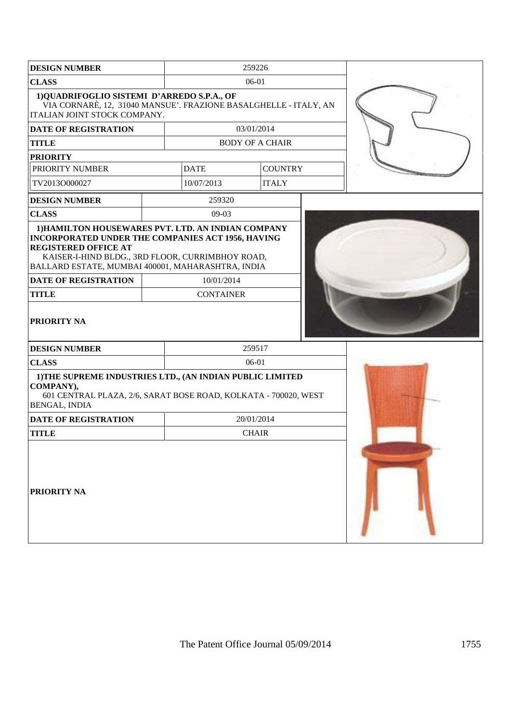| <b>DESIGN NUMBER</b>                                                                                                                                                                                                                                   |                  | 259226                 |  |  |
|--------------------------------------------------------------------------------------------------------------------------------------------------------------------------------------------------------------------------------------------------------|------------------|------------------------|--|--|
| <b>CLASS</b>                                                                                                                                                                                                                                           |                  | 06-01                  |  |  |
| 1)QUADRIFOGLIO SISTEMI D'ARREDO S.P.A., OF<br>VIA CORNARÈ, 12, 31040 MANSUE'. FRAZIONE BASALGHELLE - ITALY, AN<br>ITALIAN JOINT STOCK COMPANY.                                                                                                         |                  |                        |  |  |
| DATE OF REGISTRATION                                                                                                                                                                                                                                   |                  | 03/01/2014             |  |  |
| <b>TITLE</b>                                                                                                                                                                                                                                           |                  | <b>BODY OF A CHAIR</b> |  |  |
| <b>PRIORITY</b>                                                                                                                                                                                                                                        |                  |                        |  |  |
| PRIORITY NUMBER                                                                                                                                                                                                                                        | <b>DATE</b>      | <b>COUNTRY</b>         |  |  |
| TV2013O000027                                                                                                                                                                                                                                          | 10/07/2013       | <b>ITALY</b>           |  |  |
| <b>DESIGN NUMBER</b>                                                                                                                                                                                                                                   | 259320           |                        |  |  |
| <b>CLASS</b>                                                                                                                                                                                                                                           | 09-03            |                        |  |  |
| 1) HAMILTON HOUSEWARES PVT. LTD. AN INDIAN COMPANY<br><b>INCORPORATED UNDER THE COMPANIES ACT 1956, HAVING</b><br><b>REGISTERED OFFICE AT</b><br>KAISER-I-HIND BLDG., 3RD FLOOR, CURRIMBHOY ROAD,<br>BALLARD ESTATE, MUMBAI 400001, MAHARASHTRA, INDIA |                  |                        |  |  |
| <b>DATE OF REGISTRATION</b>                                                                                                                                                                                                                            | 10/01/2014       |                        |  |  |
| <b>TITLE</b>                                                                                                                                                                                                                                           | <b>CONTAINER</b> |                        |  |  |
| PRIORITY NA                                                                                                                                                                                                                                            |                  |                        |  |  |
| <b>DESIGN NUMBER</b>                                                                                                                                                                                                                                   |                  | 259517                 |  |  |
| <b>CLASS</b>                                                                                                                                                                                                                                           |                  | 06-01                  |  |  |
| 1) THE SUPREME INDUSTRIES LTD., (AN INDIAN PUBLIC LIMITED<br>COMPANY),<br>601 CENTRAL PLAZA, 2/6, SARAT BOSE ROAD, KOLKATA - 700020, WEST<br><b>BENGAL, INDIA</b>                                                                                      |                  |                        |  |  |
| <b>DATE OF REGISTRATION</b>                                                                                                                                                                                                                            |                  | 20/01/2014             |  |  |
| <b>TITLE</b>                                                                                                                                                                                                                                           |                  | <b>CHAIR</b>           |  |  |
| PRIORITY NA                                                                                                                                                                                                                                            |                  |                        |  |  |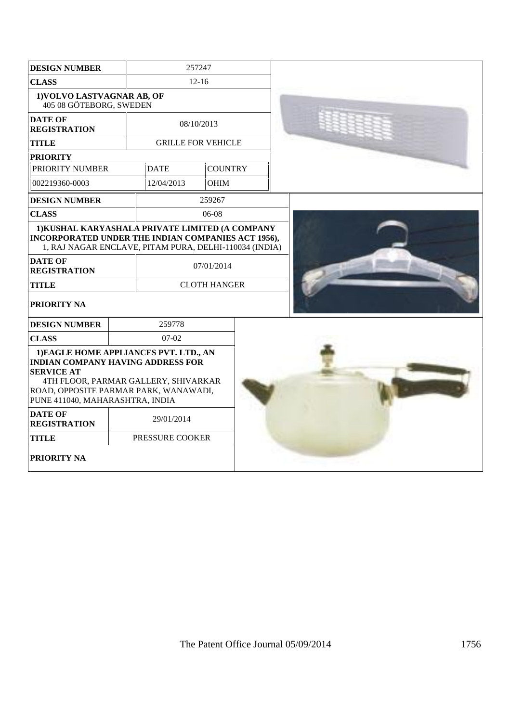| <b>DESIGN NUMBER</b>                                                                                                                                                                                                        | 257247 |                           |                     |  |
|-----------------------------------------------------------------------------------------------------------------------------------------------------------------------------------------------------------------------------|--------|---------------------------|---------------------|--|
| <b>CLASS</b><br>$12 - 16$                                                                                                                                                                                                   |        |                           |                     |  |
| 1) VOLVO LASTVAGNAR AB, OF<br>405 08 GÖTEBORG, SWEDEN                                                                                                                                                                       |        |                           |                     |  |
| <b>DATE OF</b><br><b>REGISTRATION</b>                                                                                                                                                                                       |        | 08/10/2013                |                     |  |
| <b>TITLE</b>                                                                                                                                                                                                                |        | <b>GRILLE FOR VEHICLE</b> |                     |  |
| <b>PRIORITY</b>                                                                                                                                                                                                             |        |                           |                     |  |
| PRIORITY NUMBER                                                                                                                                                                                                             |        | <b>DATE</b>               | <b>COUNTRY</b>      |  |
| 002219360-0003                                                                                                                                                                                                              |        | 12/04/2013                | <b>OHIM</b>         |  |
| <b>DESIGN NUMBER</b>                                                                                                                                                                                                        |        |                           | 259267              |  |
| <b>CLASS</b>                                                                                                                                                                                                                |        |                           | 06-08               |  |
| 1) KUSHAL KARYASHALA PRIVATE LIMITED (A COMPANY<br>INCORPORATED UNDER THE INDIAN COMPANIES ACT 1956),<br>1, RAJ NAGAR ENCLAVE, PITAM PURA, DELHI-110034 (INDIA)<br><b>DATE OF</b><br><b>REGISTRATION</b>                    |        |                           | 07/01/2014          |  |
| <b>TITLE</b>                                                                                                                                                                                                                |        |                           | <b>CLOTH HANGER</b> |  |
| PRIORITY NA                                                                                                                                                                                                                 |        |                           |                     |  |
| <b>DESIGN NUMBER</b>                                                                                                                                                                                                        |        | 259778                    |                     |  |
| <b>CLASS</b>                                                                                                                                                                                                                |        | $07-02$                   |                     |  |
| 1) EAGLE HOME APPLIANCES PVT. LTD., AN<br><b>INDIAN COMPANY HAVING ADDRESS FOR</b><br><b>SERVICE AT</b><br>4TH FLOOR, PARMAR GALLERY, SHIVARKAR<br>ROAD, OPPOSITE PARMAR PARK, WANAWADI,<br>PUNE 411040, MAHARASHTRA, INDIA |        |                           |                     |  |
| <b>DATE OF</b><br><b>REGISTRATION</b>                                                                                                                                                                                       |        | 29/01/2014                |                     |  |
| <b>TITLE</b>                                                                                                                                                                                                                |        | PRESSURE COOKER           |                     |  |
| PRIORITY NA                                                                                                                                                                                                                 |        |                           |                     |  |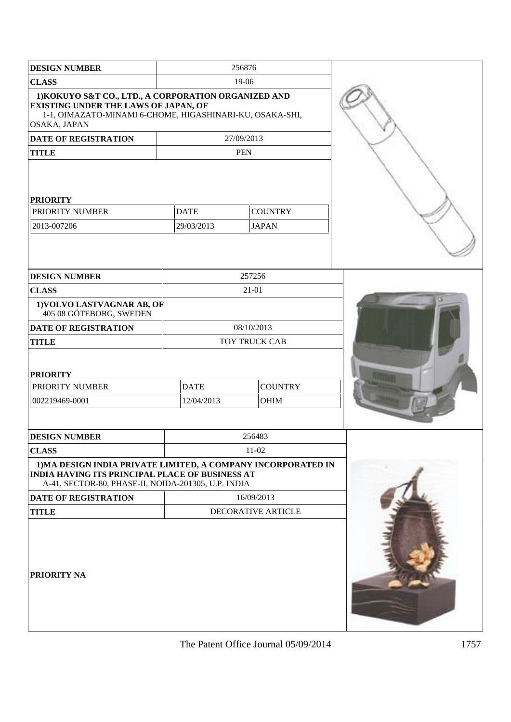| <b>DESIGN NUMBER</b>                                                                                                                                                                                          |                           | 256876                         |  |
|---------------------------------------------------------------------------------------------------------------------------------------------------------------------------------------------------------------|---------------------------|--------------------------------|--|
| <b>CLASS</b>                                                                                                                                                                                                  |                           | 19-06                          |  |
| 1) KOKUYO S&T CO., LTD., A CORPORATION ORGANIZED AND<br><b>EXISTING UNDER THE LAWS OF JAPAN, OF</b><br>1-1, OIMAZATO-MINAMI 6-CHOME, HIGASHINARI-KU, OSAKA-SHI,<br>OSAKA, JAPAN                               |                           |                                |  |
| <b>DATE OF REGISTRATION</b>                                                                                                                                                                                   |                           | 27/09/2013                     |  |
| <b>TITLE</b>                                                                                                                                                                                                  |                           | <b>PEN</b>                     |  |
| <b>PRIORITY</b><br>PRIORITY NUMBER<br>2013-007206                                                                                                                                                             | <b>DATE</b><br>29/03/2013 | <b>COUNTRY</b><br><b>JAPAN</b> |  |
| <b>DESIGN NUMBER</b>                                                                                                                                                                                          |                           | 257256                         |  |
| <b>CLASS</b>                                                                                                                                                                                                  |                           | $21 - 01$                      |  |
| 1) VOLVO LASTVAGNAR AB, OF<br>405 08 GÖTEBORG, SWEDEN                                                                                                                                                         |                           |                                |  |
| DATE OF REGISTRATION                                                                                                                                                                                          |                           | 08/10/2013                     |  |
| <b>TITLE</b>                                                                                                                                                                                                  |                           | TOY TRUCK CAB                  |  |
| <b>PRIORITY</b><br>PRIORITY NUMBER<br>002219469-0001                                                                                                                                                          | <b>DATE</b><br>12/04/2013 | <b>COUNTRY</b><br><b>OHIM</b>  |  |
| <b>DESIGN NUMBER</b>                                                                                                                                                                                          |                           | 256483                         |  |
| <b>CLASS</b>                                                                                                                                                                                                  |                           | $11-02$                        |  |
| 1) MA DESIGN INDIA PRIVATE LIMITED, A COMPANY INCORPORATED IN<br><b>INDIA HAVING ITS PRINCIPAL PLACE OF BUSINESS AT</b><br>A-41, SECTOR-80, PHASE-II, NOIDA-201305, U.P. INDIA<br><b>DATE OF REGISTRATION</b> |                           | 16/09/2013                     |  |
| <b>TITLE</b>                                                                                                                                                                                                  |                           | DECORATIVE ARTICLE             |  |
| PRIORITY NA                                                                                                                                                                                                   |                           |                                |  |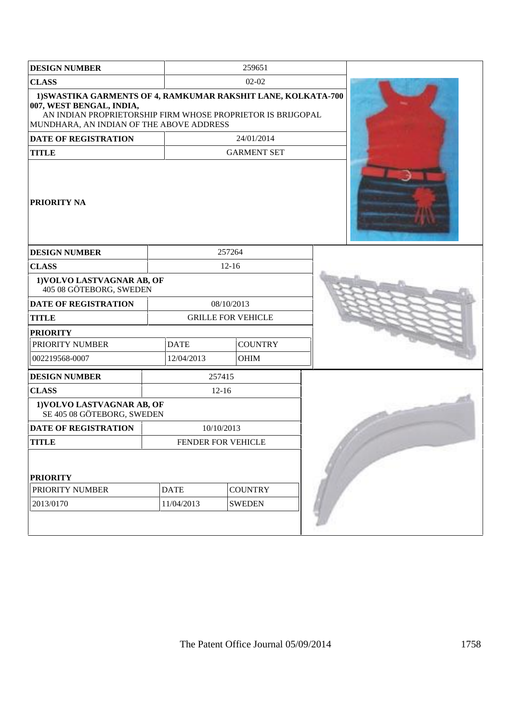| <b>DESIGN NUMBER</b>                                                                                                                                                                                 |             | 259651                    |  |  |
|------------------------------------------------------------------------------------------------------------------------------------------------------------------------------------------------------|-------------|---------------------------|--|--|
| <b>CLASS</b>                                                                                                                                                                                         |             | $02 - 02$                 |  |  |
| 1) SWASTIKA GARMENTS OF 4, RAMKUMAR RAKSHIT LANE, KOLKATA-700<br>007, WEST BENGAL, INDIA,<br>AN INDIAN PROPRIETORSHIP FIRM WHOSE PROPRIETOR IS BRIJGOPAL<br>MUNDHARA, AN INDIAN OF THE ABOVE ADDRESS |             |                           |  |  |
| <b>DATE OF REGISTRATION</b>                                                                                                                                                                          |             | 24/01/2014                |  |  |
| <b>TITLE</b>                                                                                                                                                                                         |             | <b>GARMENT SET</b>        |  |  |
| <b>PRIORITY NA</b>                                                                                                                                                                                   |             |                           |  |  |
| <b>DESIGN NUMBER</b>                                                                                                                                                                                 |             | 257264                    |  |  |
| <b>CLASS</b>                                                                                                                                                                                         |             | $12 - 16$                 |  |  |
| 1) VOLVO LASTVAGNAR AB, OF<br>405 08 GÖTEBORG, SWEDEN                                                                                                                                                |             |                           |  |  |
| <b>DATE OF REGISTRATION</b>                                                                                                                                                                          |             | 08/10/2013                |  |  |
| <b>TITLE</b>                                                                                                                                                                                         |             | <b>GRILLE FOR VEHICLE</b> |  |  |
| <b>PRIORITY</b>                                                                                                                                                                                      |             |                           |  |  |
| PRIORITY NUMBER                                                                                                                                                                                      | <b>DATE</b> | <b>COUNTRY</b>            |  |  |
| 002219568-0007                                                                                                                                                                                       | 12/04/2013  | <b>OHIM</b>               |  |  |
| <b>DESIGN NUMBER</b>                                                                                                                                                                                 |             | 257415                    |  |  |
| <b>CLASS</b>                                                                                                                                                                                         |             | $12 - 16$                 |  |  |
| 1) VOLVO LASTVAGNAR AB, OF<br>SE 405 08 GÖTEBORG, SWEDEN                                                                                                                                             |             |                           |  |  |
| <b>DATE OF REGISTRATION</b>                                                                                                                                                                          |             | 10/10/2013                |  |  |
| <b>TITLE</b>                                                                                                                                                                                         |             | FENDER FOR VEHICLE        |  |  |
| <b>PRIORITY</b><br>PRIORITY NUMBER                                                                                                                                                                   | <b>DATE</b> | <b>COUNTRY</b>            |  |  |
|                                                                                                                                                                                                      |             |                           |  |  |
| 2013/0170                                                                                                                                                                                            | 11/04/2013  | <b>SWEDEN</b>             |  |  |
|                                                                                                                                                                                                      |             |                           |  |  |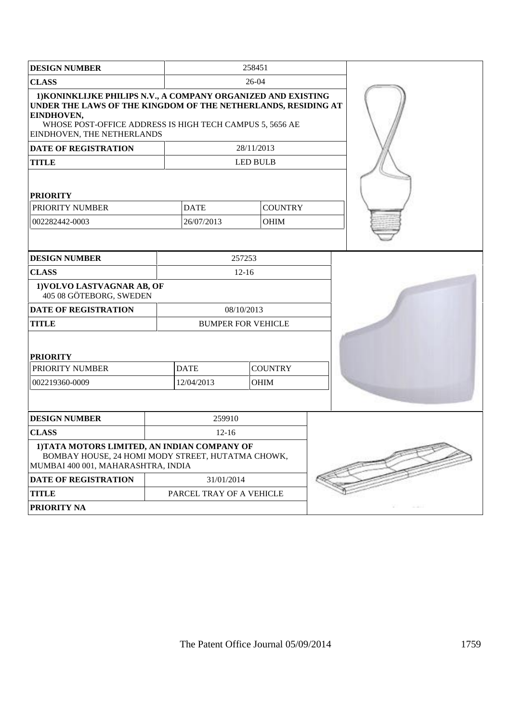| <b>DESIGN NUMBER</b>                                                                                                                                                                                                                   | 258451                   |                           |  |  |
|----------------------------------------------------------------------------------------------------------------------------------------------------------------------------------------------------------------------------------------|--------------------------|---------------------------|--|--|
| <b>CLASS</b>                                                                                                                                                                                                                           |                          | 26-04                     |  |  |
| 1) KONINKLIJKE PHILIPS N.V., A COMPANY ORGANIZED AND EXISTING<br>UNDER THE LAWS OF THE KINGDOM OF THE NETHERLANDS, RESIDING AT<br>EINDHOVEN,<br>WHOSE POST-OFFICE ADDRESS IS HIGH TECH CAMPUS 5, 5656 AE<br>EINDHOVEN, THE NETHERLANDS |                          |                           |  |  |
| <b>DATE OF REGISTRATION</b>                                                                                                                                                                                                            |                          | 28/11/2013                |  |  |
| <b>TITLE</b>                                                                                                                                                                                                                           |                          | <b>LED BULB</b>           |  |  |
| <b>PRIORITY</b>                                                                                                                                                                                                                        |                          |                           |  |  |
| PRIORITY NUMBER                                                                                                                                                                                                                        | <b>DATE</b>              | <b>COUNTRY</b>            |  |  |
| 002282442-0003                                                                                                                                                                                                                         | 26/07/2013               | <b>OHIM</b>               |  |  |
|                                                                                                                                                                                                                                        |                          |                           |  |  |
| <b>DESIGN NUMBER</b>                                                                                                                                                                                                                   |                          | 257253                    |  |  |
| <b>CLASS</b>                                                                                                                                                                                                                           |                          | $12 - 16$                 |  |  |
| 1) VOLVO LASTVAGNAR AB, OF<br>405 08 GÖTEBORG, SWEDEN                                                                                                                                                                                  |                          |                           |  |  |
| <b>DATE OF REGISTRATION</b>                                                                                                                                                                                                            |                          | 08/10/2013                |  |  |
| <b>TITLE</b>                                                                                                                                                                                                                           |                          | <b>BUMPER FOR VEHICLE</b> |  |  |
| <b>PRIORITY</b>                                                                                                                                                                                                                        |                          |                           |  |  |
| PRIORITY NUMBER                                                                                                                                                                                                                        | <b>DATE</b>              | <b>COUNTRY</b>            |  |  |
| 002219360-0009                                                                                                                                                                                                                         | 12/04/2013               | <b>OHIM</b>               |  |  |
|                                                                                                                                                                                                                                        |                          |                           |  |  |
| <b>DESIGN NUMBER</b>                                                                                                                                                                                                                   | 259910                   |                           |  |  |
| <b>CLASS</b>                                                                                                                                                                                                                           | $12 - 16$                |                           |  |  |
| 1) TATA MOTORS LIMITED, AN INDIAN COMPANY OF<br>BOMBAY HOUSE, 24 HOMI MODY STREET, HUTATMA CHOWK,<br>MUMBAI 400 001, MAHARASHTRA, INDIA                                                                                                |                          |                           |  |  |
| DATE OF REGISTRATION                                                                                                                                                                                                                   | 31/01/2014               |                           |  |  |
| <b>TITLE</b>                                                                                                                                                                                                                           | PARCEL TRAY OF A VEHICLE |                           |  |  |
| PRIORITY NA                                                                                                                                                                                                                            |                          |                           |  |  |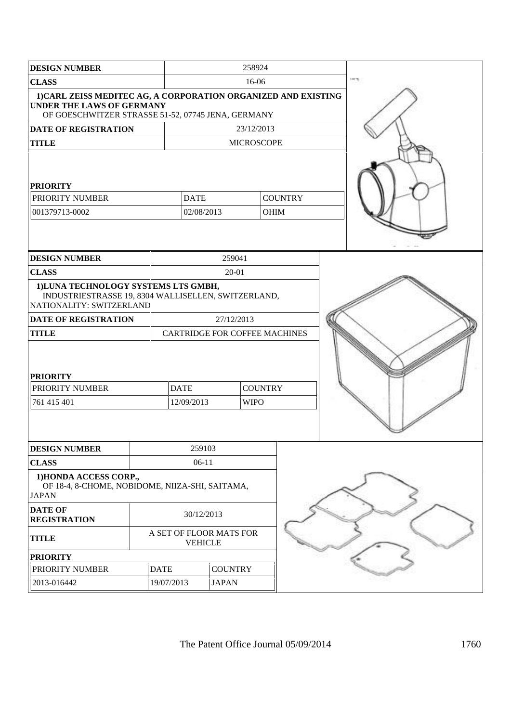| <b>DESIGN NUMBER</b>                                                                                                                                     |             | 258924                                    |                |                   |                |  |  |
|----------------------------------------------------------------------------------------------------------------------------------------------------------|-------------|-------------------------------------------|----------------|-------------------|----------------|--|--|
| <b>CLASS</b>                                                                                                                                             | 16-06       |                                           |                |                   |                |  |  |
| 1) CARL ZEISS MEDITEC AG, A CORPORATION ORGANIZED AND EXISTING<br><b>UNDER THE LAWS OF GERMANY</b><br>OF GOESCHWITZER STRASSE 51-52, 07745 JENA, GERMANY |             |                                           |                |                   |                |  |  |
| DATE OF REGISTRATION                                                                                                                                     |             |                                           |                | 23/12/2013        |                |  |  |
| <b>TITLE</b>                                                                                                                                             |             |                                           |                | <b>MICROSCOPE</b> |                |  |  |
| <b>PRIORITY</b>                                                                                                                                          |             |                                           |                |                   |                |  |  |
| PRIORITY NUMBER                                                                                                                                          |             | <b>DATE</b>                               |                |                   | <b>COUNTRY</b> |  |  |
| 001379713-0002                                                                                                                                           |             | 02/08/2013                                |                | <b>OHIM</b>       |                |  |  |
|                                                                                                                                                          |             |                                           |                |                   |                |  |  |
| <b>DESIGN NUMBER</b>                                                                                                                                     |             |                                           | 259041         |                   |                |  |  |
| <b>CLASS</b>                                                                                                                                             |             |                                           | $20 - 01$      |                   |                |  |  |
| 1) LUNA TECHNOLOGY SYSTEMS LTS GMBH,<br>INDUSTRIESTRASSE 19, 8304 WALLISELLEN, SWITZERLAND,<br>NATIONALITY: SWITZERLAND                                  |             |                                           |                |                   |                |  |  |
| <b>DATE OF REGISTRATION</b><br><b>TITLE</b>                                                                                                              |             | CARTRIDGE FOR COFFEE MACHINES             | 27/12/2013     |                   |                |  |  |
| <b>PRIORITY</b><br>PRIORITY NUMBER                                                                                                                       |             | <b>DATE</b>                               |                | <b>COUNTRY</b>    |                |  |  |
| 761 415 401                                                                                                                                              |             | 12/09/2013                                |                | <b>WIPO</b>       |                |  |  |
|                                                                                                                                                          |             |                                           |                |                   |                |  |  |
| <b>DESIGN NUMBER</b>                                                                                                                                     |             | 259103                                    |                |                   |                |  |  |
| <b>CLASS</b><br>1) HONDA ACCESS CORP.,<br>OF 18-4, 8-CHOME, NOBIDOME, NIIZA-SHI, SAITAMA,<br><b>JAPAN</b>                                                |             | $06-11$                                   |                |                   |                |  |  |
| <b>DATE OF</b><br><b>REGISTRATION</b>                                                                                                                    |             | 30/12/2013                                |                |                   |                |  |  |
| <b>TITLE</b>                                                                                                                                             |             | A SET OF FLOOR MATS FOR<br><b>VEHICLE</b> |                |                   |                |  |  |
| <b>PRIORITY</b>                                                                                                                                          |             |                                           |                |                   |                |  |  |
| PRIORITY NUMBER                                                                                                                                          | <b>DATE</b> |                                           | <b>COUNTRY</b> |                   |                |  |  |
| 2013-016442                                                                                                                                              | 19/07/2013  |                                           | <b>JAPAN</b>   |                   |                |  |  |
|                                                                                                                                                          |             |                                           |                |                   |                |  |  |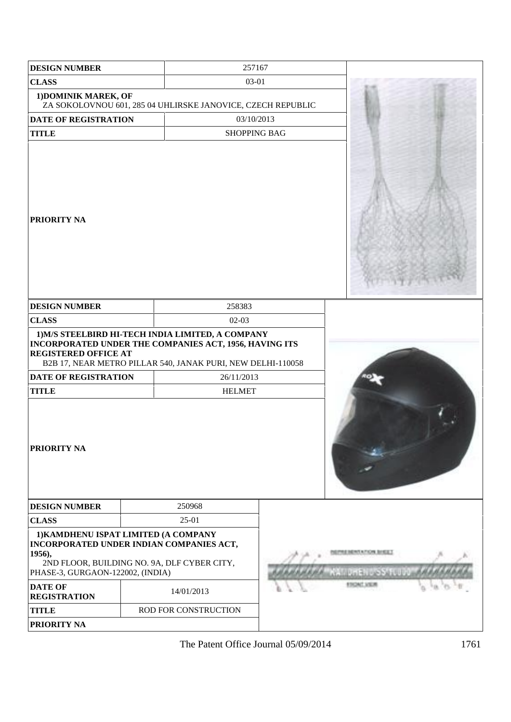| <b>DESIGN NUMBER</b>                                                                                                                                                                            |  | 257167                                                                                                                                                                     |  |                                            |
|-------------------------------------------------------------------------------------------------------------------------------------------------------------------------------------------------|--|----------------------------------------------------------------------------------------------------------------------------------------------------------------------------|--|--------------------------------------------|
| <b>CLASS</b>                                                                                                                                                                                    |  | 03-01                                                                                                                                                                      |  |                                            |
| 1) DOMINIK MAREK, OF                                                                                                                                                                            |  | ZA SOKOLOVNOU 601, 285 04 UHLIRSKE JANOVICE, CZECH REPUBLIC                                                                                                                |  |                                            |
| <b>DATE OF REGISTRATION</b>                                                                                                                                                                     |  | 03/10/2013                                                                                                                                                                 |  |                                            |
| <b>TITLE</b>                                                                                                                                                                                    |  | <b>SHOPPING BAG</b>                                                                                                                                                        |  |                                            |
| <b>PRIORITY NA</b>                                                                                                                                                                              |  |                                                                                                                                                                            |  |                                            |
| <b>DESIGN NUMBER</b>                                                                                                                                                                            |  | 258383                                                                                                                                                                     |  |                                            |
| <b>CLASS</b>                                                                                                                                                                                    |  | $02-03$                                                                                                                                                                    |  |                                            |
| <b>REGISTERED OFFICE AT</b>                                                                                                                                                                     |  | 1) M/S STEELBIRD HI-TECH INDIA LIMITED, A COMPANY<br>INCORPORATED UNDER THE COMPANIES ACT, 1956, HAVING ITS<br>B2B 17, NEAR METRO PILLAR 540, JANAK PURI, NEW DELHI-110058 |  |                                            |
| <b>DATE OF REGISTRATION</b>                                                                                                                                                                     |  | 26/11/2013                                                                                                                                                                 |  |                                            |
| <b>TITLE</b>                                                                                                                                                                                    |  | <b>HELMET</b>                                                                                                                                                              |  |                                            |
| <b>PRIORITY NA</b>                                                                                                                                                                              |  |                                                                                                                                                                            |  |                                            |
| <b>DESIGN NUMBER</b>                                                                                                                                                                            |  | 250968                                                                                                                                                                     |  |                                            |
| <b>CLASS</b>                                                                                                                                                                                    |  | $25-01$                                                                                                                                                                    |  |                                            |
| 1) KAMDHENU ISPAT LIMITED (A COMPANY<br>INCORPORATED UNDER INDIAN COMPANIES ACT,<br>1956),<br>2ND FLOOR, BUILDING NO. 9A, DLF CYBER CITY,<br>PHASE-3, GURGAON-122002, (INDIA)<br><b>DATE OF</b> |  |                                                                                                                                                                            |  | <b>NAMERICSS TODA</b><br><b>ROONS VIEW</b> |
| <b>REGISTRATION</b>                                                                                                                                                                             |  | 14/01/2013                                                                                                                                                                 |  |                                            |
| <b>TITLE</b>                                                                                                                                                                                    |  | ROD FOR CONSTRUCTION                                                                                                                                                       |  |                                            |
| PRIORITY NA                                                                                                                                                                                     |  |                                                                                                                                                                            |  |                                            |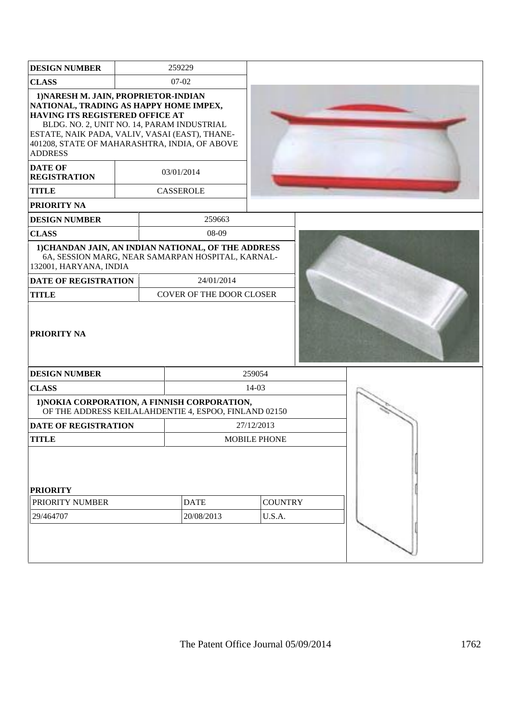| <b>DESIGN NUMBER</b>                                                                                                                                                                                                                                                                 |             |  | 259229                                                |                     |  |  |
|--------------------------------------------------------------------------------------------------------------------------------------------------------------------------------------------------------------------------------------------------------------------------------------|-------------|--|-------------------------------------------------------|---------------------|--|--|
| <b>CLASS</b>                                                                                                                                                                                                                                                                         |             |  | $07-02$                                               |                     |  |  |
| 1) NARESH M. JAIN, PROPRIETOR-INDIAN<br>NATIONAL, TRADING AS HAPPY HOME IMPEX,<br>HAVING ITS REGISTERED OFFICE AT<br>BLDG. NO. 2, UNIT NO. 14, PARAM INDUSTRIAL<br>ESTATE, NAIK PADA, VALIV, VASAI (EAST), THANE-<br>401208, STATE OF MAHARASHTRA, INDIA, OF ABOVE<br><b>ADDRESS</b> |             |  |                                                       |                     |  |  |
| <b>DATE OF</b><br><b>REGISTRATION</b>                                                                                                                                                                                                                                                |             |  | 03/01/2014                                            |                     |  |  |
| <b>TITLE</b>                                                                                                                                                                                                                                                                         |             |  | <b>CASSEROLE</b>                                      |                     |  |  |
| <b>PRIORITY NA</b>                                                                                                                                                                                                                                                                   |             |  |                                                       |                     |  |  |
| <b>DESIGN NUMBER</b>                                                                                                                                                                                                                                                                 |             |  | 259663                                                |                     |  |  |
| <b>CLASS</b>                                                                                                                                                                                                                                                                         |             |  | 08-09                                                 |                     |  |  |
| 1) CHANDAN JAIN, AN INDIAN NATIONAL, OF THE ADDRESS<br>132001, HARYANA, INDIA                                                                                                                                                                                                        |             |  | 6A, SESSION MARG, NEAR SAMARPAN HOSPITAL, KARNAL-     |                     |  |  |
| <b>DATE OF REGISTRATION</b>                                                                                                                                                                                                                                                          |             |  | 24/01/2014                                            |                     |  |  |
| <b>TITLE</b>                                                                                                                                                                                                                                                                         |             |  | COVER OF THE DOOR CLOSER                              |                     |  |  |
| <b>PRIORITY NA</b>                                                                                                                                                                                                                                                                   |             |  |                                                       |                     |  |  |
| <b>DESIGN NUMBER</b>                                                                                                                                                                                                                                                                 |             |  |                                                       | 259054              |  |  |
| <b>CLASS</b>                                                                                                                                                                                                                                                                         |             |  |                                                       | $14-03$             |  |  |
| 1) NOKIA CORPORATION, A FINNISH CORPORATION,                                                                                                                                                                                                                                         |             |  | OF THE ADDRESS KEILALAHDENTIE 4, ESPOO, FINLAND 02150 |                     |  |  |
| <b>DATE OF REGISTRATION</b>                                                                                                                                                                                                                                                          |             |  |                                                       | 27/12/2013          |  |  |
| <b>TITLE</b>                                                                                                                                                                                                                                                                         |             |  |                                                       | <b>MOBILE PHONE</b> |  |  |
| <b>PRIORITY</b>                                                                                                                                                                                                                                                                      |             |  |                                                       |                     |  |  |
| PRIORITY NUMBER                                                                                                                                                                                                                                                                      | <b>DATE</b> |  |                                                       | <b>COUNTRY</b>      |  |  |
| 29/464707                                                                                                                                                                                                                                                                            | 20/08/2013  |  |                                                       | U.S.A.              |  |  |
|                                                                                                                                                                                                                                                                                      |             |  |                                                       |                     |  |  |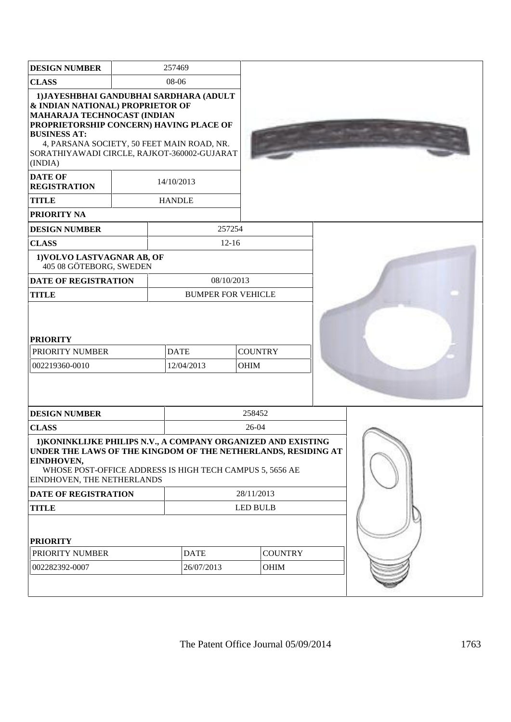| <b>DESIGN NUMBER</b>                                                                                                                                                                                                                                                                                                          |                             |  | 257469                                              |                 |      |  |
|-------------------------------------------------------------------------------------------------------------------------------------------------------------------------------------------------------------------------------------------------------------------------------------------------------------------------------|-----------------------------|--|-----------------------------------------------------|-----------------|------|--|
| <b>CLASS</b>                                                                                                                                                                                                                                                                                                                  |                             |  | 08-06                                               |                 |      |  |
| 1) JAYESHBHAI GANDUBHAI SARDHARA (ADULT<br>& INDIAN NATIONAL) PROPRIETOR OF<br>MAHARAJA TECHNOCAST (INDIAN<br>PROPRIETORSHIP CONCERN) HAVING PLACE OF<br><b>BUSINESS AT:</b><br>4, PARSANA SOCIETY, 50 FEET MAIN ROAD, NR.<br>SORATHIYAWADI CIRCLE, RAJKOT-360002-GUJARAT<br>(INDIA)<br><b>DATE OF</b><br><b>REGISTRATION</b> |                             |  | 14/10/2013                                          |                 |      |  |
| <b>TITLE</b><br><b>PRIORITY NA</b>                                                                                                                                                                                                                                                                                            |                             |  | <b>HANDLE</b>                                       |                 |      |  |
| <b>DESIGN NUMBER</b>                                                                                                                                                                                                                                                                                                          |                             |  | 257254                                              |                 |      |  |
| <b>CLASS</b>                                                                                                                                                                                                                                                                                                                  |                             |  | $12 - 16$                                           |                 |      |  |
| 1) VOLVO LASTVAGNAR AB, OF<br>405 08 GÖTEBORG, SWEDEN                                                                                                                                                                                                                                                                         |                             |  |                                                     |                 |      |  |
| <b>DATE OF REGISTRATION</b>                                                                                                                                                                                                                                                                                                   |                             |  | 08/10/2013                                          |                 |      |  |
| <b>TITLE</b>                                                                                                                                                                                                                                                                                                                  |                             |  | <b>BUMPER FOR VEHICLE</b>                           |                 |      |  |
| <b>PRIORITY</b><br>PRIORITY NUMBER<br>002219360-0010                                                                                                                                                                                                                                                                          |                             |  | <b>DATE</b><br><b>COUNTRY</b><br>12/04/2013<br>OHIM |                 |      |  |
| <b>DESIGN NUMBER</b>                                                                                                                                                                                                                                                                                                          |                             |  |                                                     | 258452          |      |  |
| <b>CLASS</b>                                                                                                                                                                                                                                                                                                                  |                             |  |                                                     | 26-04           |      |  |
| 1) KONINKLIJKE PHILIPS N.V., A COMPANY ORGANIZED AND EXISTING<br>UNDER THE LAWS OF THE KINGDOM OF THE NETHERLANDS, RESIDING AT<br>EINDHOVEN,<br>WHOSE POST-OFFICE ADDRESS IS HIGH TECH CAMPUS 5, 5656 AE<br>EINDHOVEN, THE NETHERLANDS                                                                                        |                             |  |                                                     |                 |      |  |
|                                                                                                                                                                                                                                                                                                                               | <b>DATE OF REGISTRATION</b> |  |                                                     | 28/11/2013      |      |  |
| <b>TITLE</b>                                                                                                                                                                                                                                                                                                                  |                             |  |                                                     | <b>LED BULB</b> |      |  |
| <b>PRIORITY</b>                                                                                                                                                                                                                                                                                                               |                             |  |                                                     |                 |      |  |
| PRIORITY NUMBER<br><b>DATE</b>                                                                                                                                                                                                                                                                                                |                             |  |                                                     | <b>COUNTRY</b>  |      |  |
| 002282392-0007                                                                                                                                                                                                                                                                                                                |                             |  | 26/07/2013                                          |                 | OHIM |  |
|                                                                                                                                                                                                                                                                                                                               |                             |  |                                                     |                 |      |  |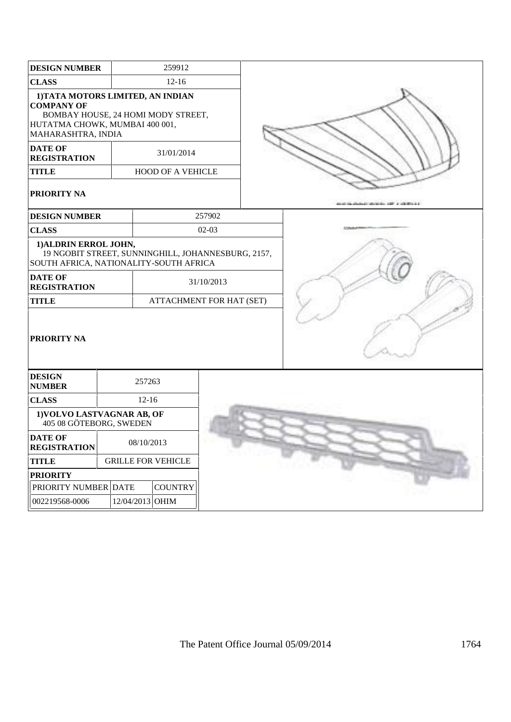| <b>DESIGN NUMBER</b>                                                                                                                                 |  | 259912                    |                                                    |  |
|------------------------------------------------------------------------------------------------------------------------------------------------------|--|---------------------------|----------------------------------------------------|--|
| <b>CLASS</b>                                                                                                                                         |  | $12 - 16$                 |                                                    |  |
| 1) TATA MOTORS LIMITED, AN INDIAN<br><b>COMPANY OF</b><br>BOMBAY HOUSE, 24 HOMI MODY STREET,<br>HUTATMA CHOWK, MUMBAI 400 001,<br>MAHARASHTRA, INDIA |  |                           |                                                    |  |
| <b>DATE OF</b><br><b>REGISTRATION</b>                                                                                                                |  | 31/01/2014                |                                                    |  |
| <b>TITLE</b>                                                                                                                                         |  | <b>HOOD OF A VEHICLE</b>  |                                                    |  |
| <b>PRIORITY NA</b>                                                                                                                                   |  |                           |                                                    |  |
| <b>DESIGN NUMBER</b>                                                                                                                                 |  |                           | 257902                                             |  |
| <b>CLASS</b>                                                                                                                                         |  |                           | $02-03$                                            |  |
| 1) ALDRIN ERROL JOHN,<br>SOUTH AFRICA, NATIONALITY-SOUTH AFRICA                                                                                      |  |                           | 19 NGOBIT STREET, SUNNINGHILL, JOHANNESBURG, 2157, |  |
| <b>DATE OF</b><br><b>REGISTRATION</b>                                                                                                                |  |                           | 31/10/2013                                         |  |
| <b>TITLE</b>                                                                                                                                         |  |                           | ATTACHMENT FOR HAT (SET)                           |  |
| <b>PRIORITY NA</b>                                                                                                                                   |  |                           |                                                    |  |
| <b>DESIGN</b><br><b>NUMBER</b>                                                                                                                       |  | 257263                    |                                                    |  |
| <b>CLASS</b>                                                                                                                                         |  | $12 - 16$                 |                                                    |  |
| 1) VOLVO LASTVAGNAR AB, OF<br>405 08 GÖTEBORG, SWEDEN                                                                                                |  |                           |                                                    |  |
| <b>DATE OF</b><br><b>REGISTRATION</b>                                                                                                                |  | 08/10/2013                |                                                    |  |
| <b>TITLE</b>                                                                                                                                         |  | <b>GRILLE FOR VEHICLE</b> |                                                    |  |
| <b>PRIORITY</b>                                                                                                                                      |  |                           |                                                    |  |
| PRIORITY NUMBER DATE                                                                                                                                 |  | <b>COUNTRY</b>            |                                                    |  |
| 002219568-0006                                                                                                                                       |  | 12/04/2013 OHIM           |                                                    |  |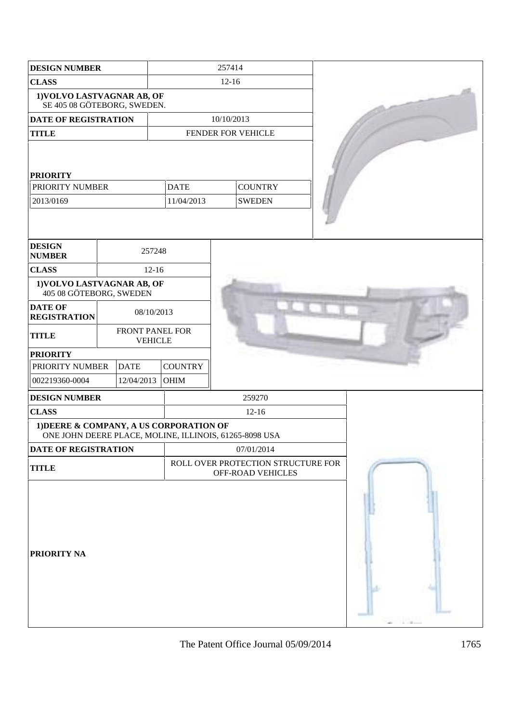| <b>DESIGN NUMBER</b>                                                                              |                                   |                           |                | 257414                                                  |                    |  |  |
|---------------------------------------------------------------------------------------------------|-----------------------------------|---------------------------|----------------|---------------------------------------------------------|--------------------|--|--|
| <b>CLASS</b>                                                                                      |                                   |                           | $12 - 16$      |                                                         |                    |  |  |
| 1) VOLVO LASTVAGNAR AB, OF<br>SE 405 08 GÖTEBORG, SWEDEN.                                         |                                   |                           |                |                                                         |                    |  |  |
| <b>DATE OF REGISTRATION</b>                                                                       |                                   |                           | 10/10/2013     |                                                         |                    |  |  |
| <b>TITLE</b>                                                                                      |                                   |                           |                |                                                         | FENDER FOR VEHICLE |  |  |
| <b>PRIORITY</b><br>PRIORITY NUMBER<br>2013/0169                                                   |                                   | <b>DATE</b><br>11/04/2013 |                | <b>COUNTRY</b><br><b>SWEDEN</b>                         |                    |  |  |
| <b>DESIGN</b><br><b>NUMBER</b>                                                                    |                                   | 257248                    |                |                                                         |                    |  |  |
| <b>CLASS</b>                                                                                      |                                   | $12 - 16$                 |                |                                                         |                    |  |  |
| 1) VOLVO LASTVAGNAR AB, OF<br>405 08 GÖTEBORG, SWEDEN                                             |                                   |                           |                |                                                         |                    |  |  |
| <b>DATE OF</b><br><b>REGISTRATION</b>                                                             |                                   | 08/10/2013                |                |                                                         |                    |  |  |
| <b>TITLE</b>                                                                                      | FRONT PANEL FOR<br><b>VEHICLE</b> |                           |                |                                                         |                    |  |  |
| <b>PRIORITY</b>                                                                                   |                                   |                           |                |                                                         |                    |  |  |
| PRIORITY NUMBER                                                                                   |                                   | <b>DATE</b>               | <b>COUNTRY</b> |                                                         |                    |  |  |
| 002219360-0004                                                                                    |                                   | 12/04/2013                | <b>OHIM</b>    |                                                         |                    |  |  |
| <b>DESIGN NUMBER</b>                                                                              |                                   |                           |                |                                                         | 259270             |  |  |
| <b>CLASS</b>                                                                                      |                                   |                           |                |                                                         | $12 - 16$          |  |  |
| 1) DEERE & COMPANY, A US CORPORATION OF<br>ONE JOHN DEERE PLACE, MOLINE, ILLINOIS, 61265-8098 USA |                                   |                           |                |                                                         |                    |  |  |
| <b>DATE OF REGISTRATION</b>                                                                       |                                   |                           |                |                                                         | 07/01/2014         |  |  |
| <b>TITLE</b>                                                                                      |                                   |                           |                | ROLL OVER PROTECTION STRUCTURE FOR<br>OFF-ROAD VEHICLES |                    |  |  |
| <b>PRIORITY NA</b>                                                                                |                                   |                           |                |                                                         |                    |  |  |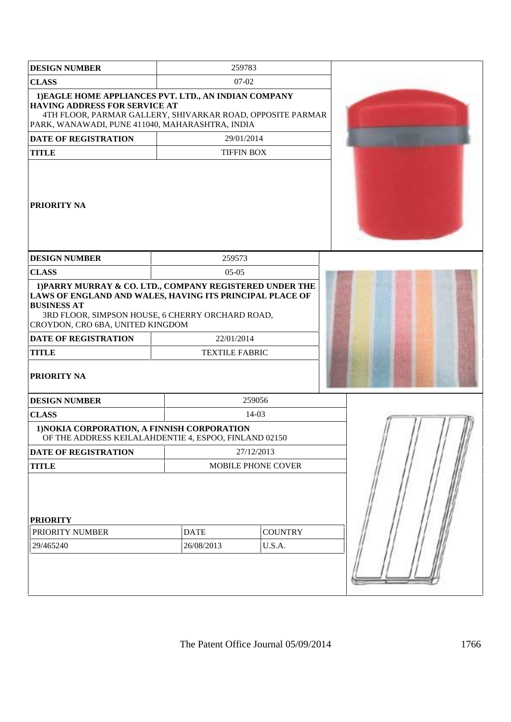| <b>DESIGN NUMBER</b>                                                                                                                                                                                                                                                                             | 259783                              |                    |  |
|--------------------------------------------------------------------------------------------------------------------------------------------------------------------------------------------------------------------------------------------------------------------------------------------------|-------------------------------------|--------------------|--|
| <b>CLASS</b>                                                                                                                                                                                                                                                                                     | $07-02$                             |                    |  |
| 1) EAGLE HOME APPLIANCES PVT. LTD., AN INDIAN COMPANY<br><b>HAVING ADDRESS FOR SERVICE AT</b><br>4TH FLOOR, PARMAR GALLERY, SHIVARKAR ROAD, OPPOSITE PARMAR<br>PARK, WANAWADI, PUNE 411040, MAHARASHTRA, INDIA                                                                                   |                                     |                    |  |
| <b>DATE OF REGISTRATION</b>                                                                                                                                                                                                                                                                      | 29/01/2014                          |                    |  |
| <b>TITLE</b>                                                                                                                                                                                                                                                                                     | <b>TIFFIN BOX</b>                   |                    |  |
| <b>PRIORITY NA</b>                                                                                                                                                                                                                                                                               |                                     |                    |  |
| <b>DESIGN NUMBER</b>                                                                                                                                                                                                                                                                             | 259573                              |                    |  |
| <b>CLASS</b>                                                                                                                                                                                                                                                                                     | $05-05$                             |                    |  |
| 1) PARRY MURRAY & CO. LTD., COMPANY REGISTERED UNDER THE<br>LAWS OF ENGLAND AND WALES, HAVING ITS PRINCIPAL PLACE OF<br><b>BUSINESS AT</b><br>3RD FLOOR, SIMPSON HOUSE, 6 CHERRY ORCHARD ROAD,<br>CROYDON, CRO 6BA, UNITED KINGDOM<br>DATE OF REGISTRATION<br><b>TITLE</b><br><b>PRIORITY NA</b> | 22/01/2014<br><b>TEXTILE FABRIC</b> |                    |  |
| <b>DESIGN NUMBER</b>                                                                                                                                                                                                                                                                             |                                     | 259056             |  |
| <b>CLASS</b>                                                                                                                                                                                                                                                                                     |                                     | $14-03$            |  |
| 1) NOKIA CORPORATION, A FINNISH CORPORATION<br>OF THE ADDRESS KEILALAHDENTIE 4, ESPOO, FINLAND 02150                                                                                                                                                                                             |                                     |                    |  |
| DATE OF REGISTRATION                                                                                                                                                                                                                                                                             |                                     | 27/12/2013         |  |
| <b>TITLE</b>                                                                                                                                                                                                                                                                                     |                                     | MOBILE PHONE COVER |  |
| <b>PRIORITY</b><br>PRIORITY NUMBER<br>29/465240                                                                                                                                                                                                                                                  | <b>DATE</b><br>26/08/2013           |                    |  |
|                                                                                                                                                                                                                                                                                                  |                                     |                    |  |